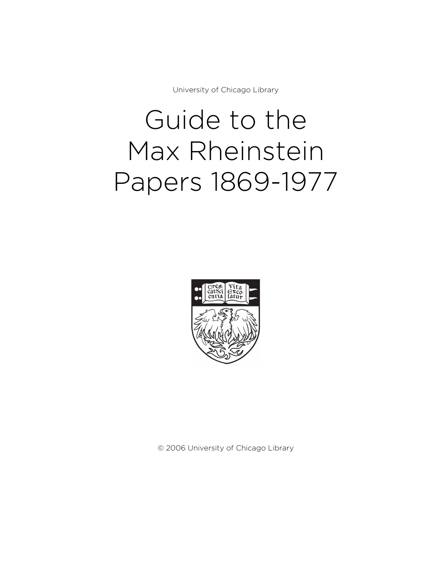University of Chicago Library

# Guide to the Max Rheinstein Papers 1869-1977



© 2006 University of Chicago Library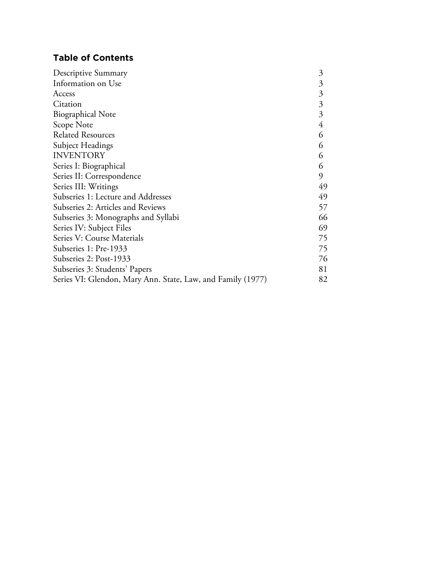# **Table of Contents**

| Descriptive Summary                                         | 3              |
|-------------------------------------------------------------|----------------|
| Information on Use                                          | 3              |
| Access                                                      | 3              |
| Citation                                                    | $\mathfrak{Z}$ |
| <b>Biographical Note</b>                                    | 3              |
| Scope Note                                                  | 4              |
| <b>Related Resources</b>                                    | 6              |
| Subject Headings                                            | 6              |
| <b>INVENTORY</b>                                            | 6              |
| Series I: Biographical                                      | 6              |
| Series II: Correspondence                                   | 9              |
| Series III: Writings                                        | 49             |
| Subseries 1: Lecture and Addresses                          | 49             |
| Subseries 2: Articles and Reviews                           | 57             |
| Subseries 3: Monographs and Syllabi                         | 66             |
| Series IV: Subject Files                                    | 69             |
| Series V: Course Materials                                  | 75             |
| Subseries 1: Pre-1933                                       | 75             |
| Subseries 2: Post-1933                                      | 76             |
| Subseries 3: Students' Papers                               | 81             |
| Series VI: Glendon, Mary Ann. State, Law, and Family (1977) | 82             |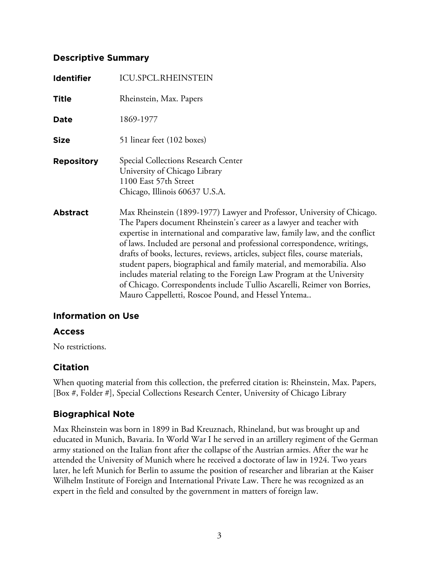## **Descriptive Summary**

| <b>Identifier</b> | <b>ICU.SPCL.RHEINSTEIN</b>                                                                                                                                                                                                                                                                                                                                                                                                                                                                                                                                                                                                                                                             |
|-------------------|----------------------------------------------------------------------------------------------------------------------------------------------------------------------------------------------------------------------------------------------------------------------------------------------------------------------------------------------------------------------------------------------------------------------------------------------------------------------------------------------------------------------------------------------------------------------------------------------------------------------------------------------------------------------------------------|
| <b>Title</b>      | Rheinstein, Max. Papers                                                                                                                                                                                                                                                                                                                                                                                                                                                                                                                                                                                                                                                                |
| Date              | 1869-1977                                                                                                                                                                                                                                                                                                                                                                                                                                                                                                                                                                                                                                                                              |
| <b>Size</b>       | 51 linear feet (102 boxes)                                                                                                                                                                                                                                                                                                                                                                                                                                                                                                                                                                                                                                                             |
| <b>Repository</b> | Special Collections Research Center<br>University of Chicago Library<br>1100 East 57th Street<br>Chicago, Illinois 60637 U.S.A.                                                                                                                                                                                                                                                                                                                                                                                                                                                                                                                                                        |
| <b>Abstract</b>   | Max Rheinstein (1899-1977) Lawyer and Professor, University of Chicago.<br>The Papers document Rheinstein's career as a lawyer and teacher with<br>expertise in international and comparative law, family law, and the conflict<br>of laws. Included are personal and professional correspondence, writings,<br>drafts of books, lectures, reviews, articles, subject files, course materials,<br>student papers, biographical and family material, and memorabilia. Also<br>includes material relating to the Foreign Law Program at the University<br>of Chicago. Correspondents include Tullio Ascarelli, Reimer von Borries,<br>Mauro Cappelletti, Roscoe Pound, and Hessel Yntema |

## **Information on Use**

## **Access**

No restrictions.

## **Citation**

When quoting material from this collection, the preferred citation is: Rheinstein, Max. Papers, [Box #, Folder #], Special Collections Research Center, University of Chicago Library

# **Biographical Note**

Max Rheinstein was born in 1899 in Bad Kreuznach, Rhineland, but was brought up and educated in Munich, Bavaria. In World War I he served in an artillery regiment of the German army stationed on the Italian front after the collapse of the Austrian armies. After the war he attended the University of Munich where he received a doctorate of law in 1924. Two years later, he left Munich for Berlin to assume the position of researcher and librarian at the Kaiser Wilhelm Institute of Foreign and International Private Law. There he was recognized as an expert in the field and consulted by the government in matters of foreign law.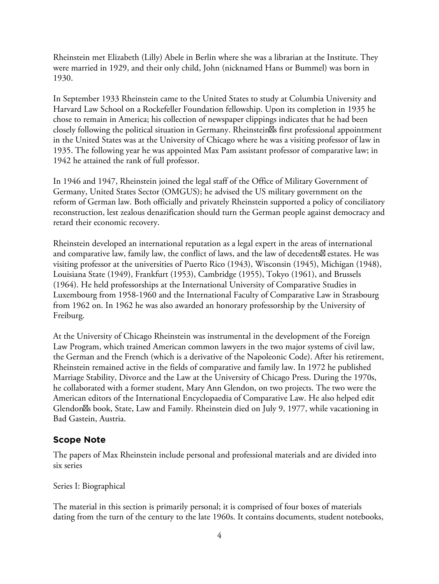Rheinstein met Elizabeth (Lilly) Abele in Berlin where she was a librarian at the Institute. They were married in 1929, and their only child, John (nicknamed Hans or Bummel) was born in 1930.

In September 1933 Rheinstein came to the United States to study at Columbia University and Harvard Law School on a Rockefeller Foundation fellowship. Upon its completion in 1935 he chose to remain in America; his collection of newspaper clippings indicates that he had been closely following the political situation in Germany. Rheinstein<sup>8</sup>s first professional appointment in the United States was at the University of Chicago where he was a visiting professor of law in 1935. The following year he was appointed Max Pam assistant professor of comparative law; in 1942 he attained the rank of full professor.

In 1946 and 1947, Rheinstein joined the legal staff of the Office of Military Government of Germany, United States Sector (OMGUS); he advised the US military government on the reform of German law. Both officially and privately Rheinstein supported a policy of conciliatory reconstruction, lest zealous denazification should turn the German people against democracy and retard their economic recovery.

Rheinstein developed an international reputation as a legal expert in the areas of international and comparative law, family law, the conflict of laws, and the law of decedents  $\boxtimes$  estates. He was visiting professor at the universities of Puerto Rico (1943), Wisconsin (1945), Michigan (1948), Louisiana State (1949), Frankfurt (1953), Cambridge (1955), Tokyo (1961), and Brussels (1964). He held professorships at the International University of Comparative Studies in Luxembourg from 1958-1960 and the International Faculty of Comparative Law in Strasbourg from 1962 on. In 1962 he was also awarded an honorary professorship by the University of Freiburg.

At the University of Chicago Rheinstein was instrumental in the development of the Foreign Law Program, which trained American common lawyers in the two major systems of civil law, the German and the French (which is a derivative of the Napoleonic Code). After his retirement, Rheinstein remained active in the fields of comparative and family law. In 1972 he published Marriage Stability, Divorce and the Law at the University of Chicago Press. During the 1970s, he collaborated with a former student, Mary Ann Glendon, on two projects. The two were the American editors of the International Encyclopaedia of Comparative Law. He also helped edit Glendon<sup>8</sup> book, State, Law and Family. Rheinstein died on July 9, 1977, while vacationing in Bad Gastein, Austria.

## **Scope Note**

The papers of Max Rheinstein include personal and professional materials and are divided into six series

Series I: Biographical

The material in this section is primarily personal; it is comprised of four boxes of materials dating from the turn of the century to the late 1960s. It contains documents, student notebooks,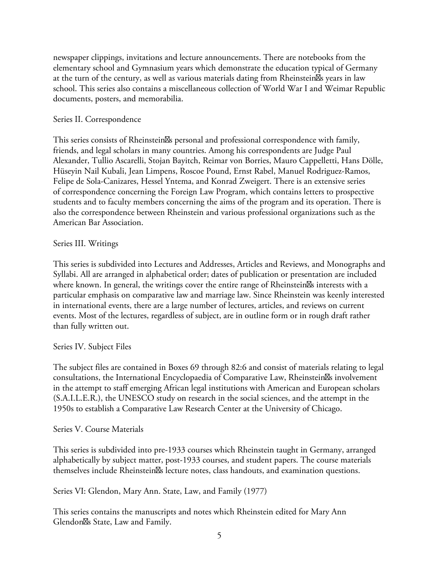newspaper clippings, invitations and lecture announcements. There are notebooks from the elementary school and Gymnasium years which demonstrate the education typical of Germany at the turn of the century, as well as various materials dating from Rheinstein $\mathbb{S}_s$  years in law school. This series also contains a miscellaneous collection of World War I and Weimar Republic documents, posters, and memorabilia.

## Series II. Correspondence

This series consists of Rheinstein<sup>8</sup>s personal and professional correspondence with family, friends, and legal scholars in many countries. Among his correspondents are Judge Paul Alexander, Tullio Ascarelli, Stojan Bayitch, Reimar von Borries, Mauro Cappelletti, Hans Dölle, Hüseyin Nail Kubali, Jean Limpens, Roscoe Pound, Ernst Rabel, Manuel Rodriguez-Ramos, Felipe de Sola-Canizares, Hessel Yntema, and Konrad Zweigert. There is an extensive series of correspondence concerning the Foreign Law Program, which contains letters to prospective students and to faculty members concerning the aims of the program and its operation. There is also the correspondence between Rheinstein and various professional organizations such as the American Bar Association.

## Series III. Writings

This series is subdivided into Lectures and Addresses, Articles and Reviews, and Monographs and Syllabi. All are arranged in alphabetical order; dates of publication or presentation are included where known. In general, the writings cover the entire range of Rheinstein<sup>8</sup>s interests with a particular emphasis on comparative law and marriage law. Since Rheinstein was keenly interested in international events, there are a large number of lectures, articles, and reviews on current events. Most of the lectures, regardless of subject, are in outline form or in rough draft rather than fully written out.

#### Series IV. Subject Files

The subject files are contained in Boxes 69 through 82:6 and consist of materials relating to legal consultations, the International Encyclopaedia of Comparative Law, Rheinstein $\mathbb{S}$ s involvement in the attempt to staff emerging African legal institutions with American and European scholars (S.A.I.L.E.R.), the UNESCO study on research in the social sciences, and the attempt in the 1950s to establish a Comparative Law Research Center at the University of Chicago.

#### Series V. Course Materials

This series is subdivided into pre-1933 courses which Rheinstein taught in Germany, arranged alphabetically by subject matter, post-1933 courses, and student papers. The course materials themselves include Rheinstein<sup>g</sup>s lecture notes, class handouts, and examination questions.

Series VI: Glendon, Mary Ann. State, Law, and Family (1977)

This series contains the manuscripts and notes which Rheinstein edited for Mary Ann Glendon<sup>I</sup>s State, Law and Family.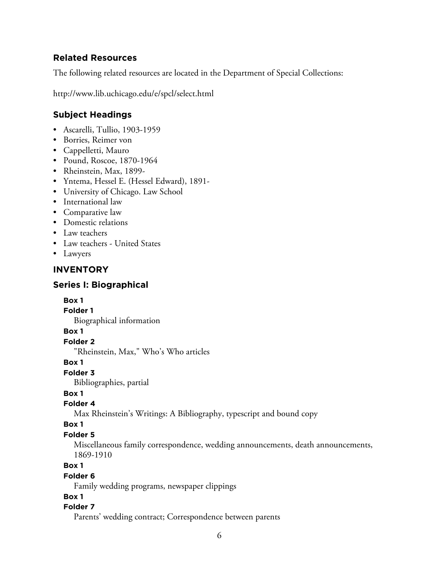## **Related Resources**

The following related resources are located in the Department of Special Collections:

http://www.lib.uchicago.edu/e/spcl/select.html

# **Subject Headings**

- Ascarelli, Tullio, 1903-1959
- Borries, Reimer von
- Cappelletti, Mauro
- Pound, Roscoe, 1870-1964
- Rheinstein, Max, 1899-
- Yntema, Hessel E. (Hessel Edward), 1891-
- University of Chicago. Law School
- International law
- Comparative law
- Domestic relations
- Law teachers
- Law teachers United States
- Lawyers

## **INVENTORY**

## **Series I: Biographical**

#### **Box 1**

**Folder 1**

Biographical information

#### **Box 1**

#### **Folder 2**

"Rheinstein, Max," Who's Who articles

#### **Box 1**

# **Folder 3**

Bibliographies, partial

# **Box 1**

#### **Folder 4**

Max Rheinstein's Writings: A Bibliography, typescript and bound copy

#### **Box 1**

# **Folder 5**

Miscellaneous family correspondence, wedding announcements, death announcements, 1869-1910

#### **Box 1**

#### **Folder 6**

Family wedding programs, newspaper clippings

## **Box 1**

## **Folder 7**

Parents' wedding contract; Correspondence between parents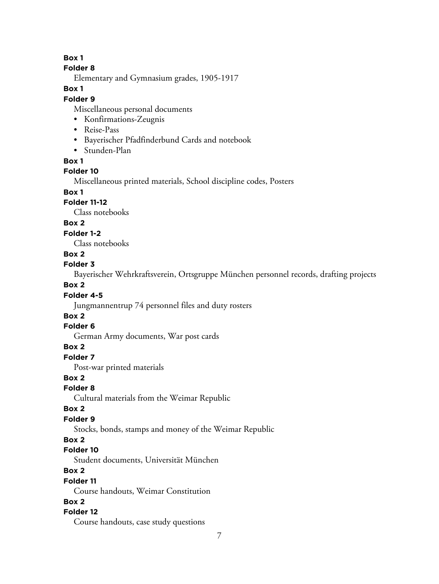**Box 1**

#### **Folder 8**

Elementary and Gymnasium grades, 1905-1917

#### **Box 1**

#### **Folder 9**

Miscellaneous personal documents

- Konfirmations-Zeugnis
- Reise-Pass
- Bayerischer Pfadfinderbund Cards and notebook
- Stunden-Plan

#### **Box 1**

## **Folder 10**

Miscellaneous printed materials, School discipline codes, Posters

# **Box 1**

## **Folder 11-12**

Class notebooks

## **Box 2**

**Folder 1-2**

Class notebooks

## **Box 2**

## **Folder 3**

Bayerischer Wehrkraftsverein, Ortsgruppe München personnel records, drafting projects

## **Box 2**

## **Folder 4-5**

Jungmannentrup 74 personnel files and duty rosters

#### **Box 2**

#### **Folder 6**

German Army documents, War post cards

#### **Box 2**

**Folder 7**

Post-war printed materials

#### **Box 2**

**Folder 8**

Cultural materials from the Weimar Republic

#### **Box 2**

## **Folder 9**

Stocks, bonds, stamps and money of the Weimar Republic

#### **Box 2**

## **Folder 10**

Student documents, Universität München

# **Box 2**

#### **Folder 11**

Course handouts, Weimar Constitution

# **Box 2**

## **Folder 12**

Course handouts, case study questions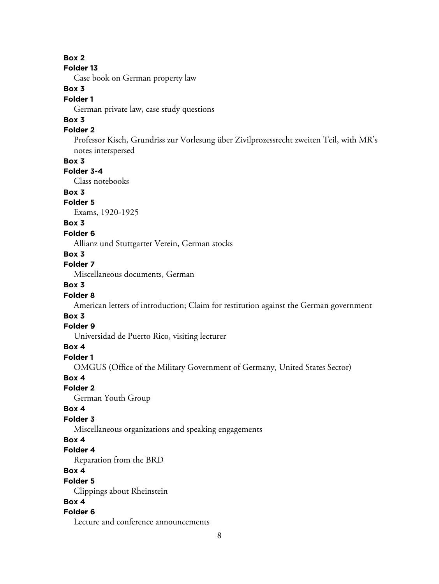#### **Box 2**

#### **Folder 13**

Case book on German property law

# **Box 3**

## **Folder 1**

German private law, case study questions

# **Box 3**

# **Folder 2**

Professor Kisch, Grundriss zur Vorlesung über Zivilprozessrecht zweiten Teil, with MR's notes interspersed

#### **Box 3**

# **Folder 3-4**

Class notebooks

## **Box 3**

## **Folder 5**

Exams, 1920-1925

## **Box 3**

#### **Folder 6**

Allianz und Stuttgarter Verein, German stocks

## **Box 3**

# **Folder 7**

Miscellaneous documents, German

# **Box 3**

#### **Folder 8**

American letters of introduction; Claim for restitution against the German government

#### **Box 3**

## **Folder 9**

Universidad de Puerto Rico, visiting lecturer

#### **Box 4**

## **Folder 1**

OMGUS (Office of the Military Government of Germany, United States Sector)

#### **Box 4**

#### **Folder 2**

German Youth Group

#### **Box 4**

#### **Folder 3**

Miscellaneous organizations and speaking engagements

#### **Box 4**

#### **Folder 4**

Reparation from the BRD

#### **Box 4**

#### **Folder 5**

Clippings about Rheinstein

## **Box 4**

#### **Folder 6**

Lecture and conference announcements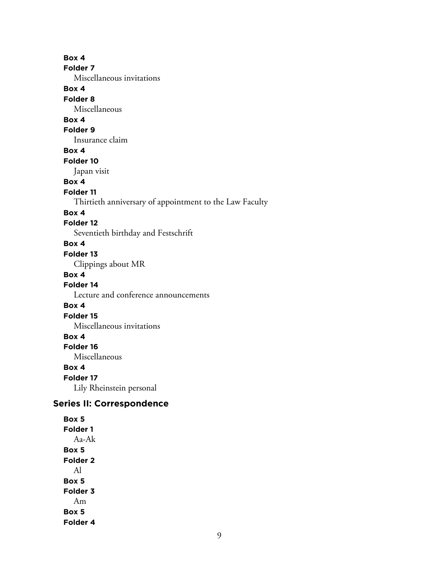**Box 4 Folder 7** Miscellaneous invitations **Box 4 Folder 8** Miscellaneous **Box 4 Folder 9** Insurance claim **Box 4 Folder 10** Japan visit **Box 4 Folder 11** Thirtieth anniversary of appointment to the Law Faculty **Box 4 Folder 12** Seventieth birthday and Festschrift **Box 4 Folder 13** Clippings about MR **Box 4 Folder 14** Lecture and conference announcements **Box 4 Folder 15** Miscellaneous invitations **Box 4 Folder 16** Miscellaneous **Box 4 Folder 17** Lily Rheinstein personal **Series II: Correspondence Box 5 Folder 1** Aa-Ak

**Box 5 Folder 2** Al **Box 5 Folder 3** Am **Box 5**

**Folder 4**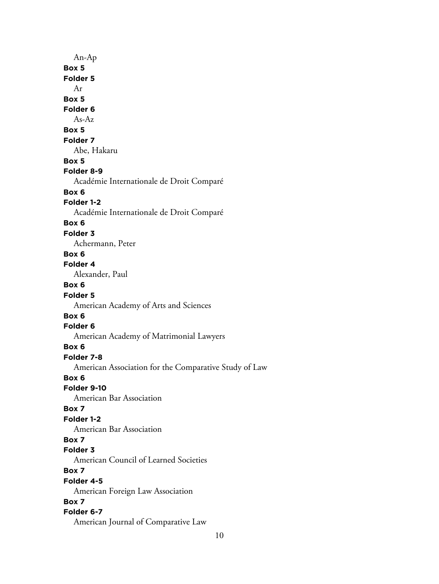An-Ap **Box 5 Folder 5** Ar **Box 5 Folder 6** As-Az **Box 5 Folder 7** Abe, Hakaru **Box 5 Folder 8-9** Académie Internationale de Droit Comparé **Box 6 Folder 1-2** Académie Internationale de Droit Comparé **Box 6 Folder 3** Achermann, Peter **Box 6 Folder 4** Alexander, Paul **Box 6 Folder 5** American Academy of Arts and Sciences **Box 6 Folder 6** American Academy of Matrimonial Lawyers **Box 6 Folder 7-8** American Association for the Comparative Study of Law **Box 6 Folder 9-10** American Bar Association **Box 7 Folder 1-2** American Bar Association **Box 7 Folder 3** American Council of Learned Societies **Box 7 Folder 4-5** American Foreign Law Association **Box 7 Folder 6-7** American Journal of Comparative Law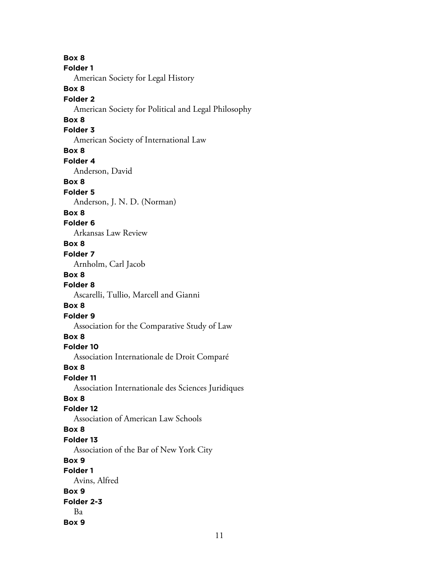**Box 8 Folder 1** American Society for Legal History **Box 8 Folder 2** American Society for Political and Legal Philosophy **Box 8 Folder 3** American Society of International Law **Box 8 Folder 4** Anderson, David **Box 8 Folder 5** Anderson, J. N. D. (Norman) **Box 8 Folder 6** Arkansas Law Review **Box 8 Folder 7** Arnholm, Carl Jacob **Box 8 Folder 8** Ascarelli, Tullio, Marcell and Gianni **Box 8 Folder 9** Association for the Comparative Study of Law **Box 8 Folder 10** Association Internationale de Droit Comparé **Box 8 Folder 11** Association Internationale des Sciences Juridiques **Box 8 Folder 12** Association of American Law Schools **Box 8 Folder 13** Association of the Bar of New York City **Box 9 Folder 1** Avins, Alfred **Box 9 Folder 2-3** Ba **Box 9**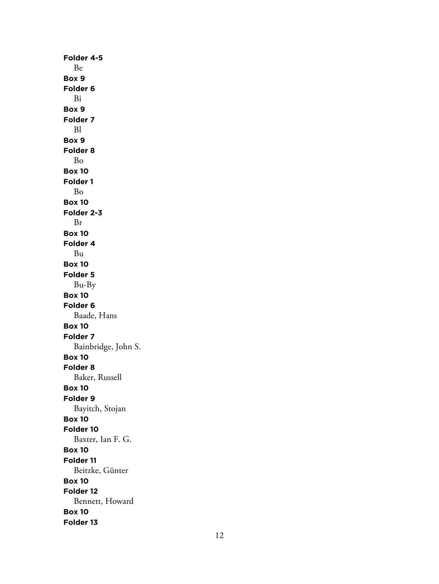**Folder 4-5** Be **Box 9 Folder 6** Bi **Box 9 Folder 7** Bl **Box 9 Folder 8** Bo **Box 10 Folder 1** Bo **Box 10 Folder 2-3** Br **Box 10 Folder 4** Bu **Box 10 Folder 5** Bu-By **Box 10 Folder 6** Baade, Hans **Box 10 Folder 7** Bainbridge, John S. **Box 10 Folder 8** Baker, Russell **Box 10 Folder 9** Bayitch, Stojan **Box 10 Folder 10** Baxter, Ian F. G. **Box 10 Folder 11** Beitzke, Günter **Box 10 Folder 12** Bennett, Howard **Box 10 Folder 13**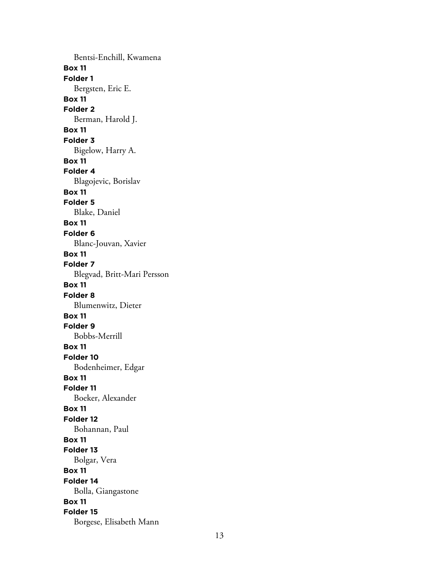Bentsi-Enchill, Kwamena **Box 11 Folder 1** Bergsten, Eric E. **Box 11 Folder 2** Berman, Harold J. **Box 11 Folder 3** Bigelow, Harry A. **Box 11 Folder 4** Blagojevic, Borislav **Box 11 Folder 5** Blake, Daniel **Box 11 Folder 6** Blanc-Jouvan, Xavier **Box 11 Folder 7** Blegvad, Britt-Mari Persson **Box 11 Folder 8** Blumenwitz, Dieter **Box 11 Folder 9** Bobbs-Merrill **Box 11 Folder 10** Bodenheimer, Edgar **Box 11 Folder 11** Boeker, Alexander **Box 11 Folder 12** Bohannan, Paul **Box 11 Folder 13** Bolgar, Vera **Box 11 Folder 14** Bolla, Giangastone **Box 11 Folder 15** Borgese, Elisabeth Mann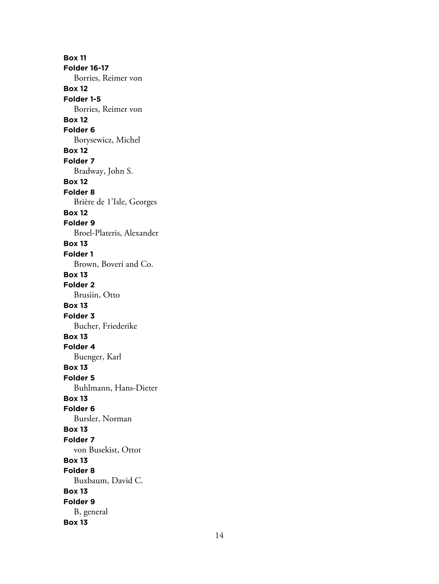**Box 11 Folder 16-17** Borries, Reimer von **Box 12 Folder 1-5** Borries, Reimer von **Box 12 Folder 6** Borysewicz, Michel **Box 12 Folder 7** Bradway, John S. **Box 12 Folder 8** Brière de 1'Isle, Georges **Box 12 Folder 9** Broel-Plateris, Alexander **Box 13 Folder 1** Brown, Boveri and Co. **Box 13 Folder 2** Brusiin, Otto **Box 13 Folder 3** Bucher, Friederike **Box 13 Folder 4** Buenger, Karl **Box 13 Folder 5** Buhlmann, Hans-Dieter **Box 13 Folder 6** Bursler, Norman **Box 13 Folder 7** von Busekist, Ottot **Box 13 Folder 8** Buxbaum, David C. **Box 13 Folder 9** B, general **Box 13**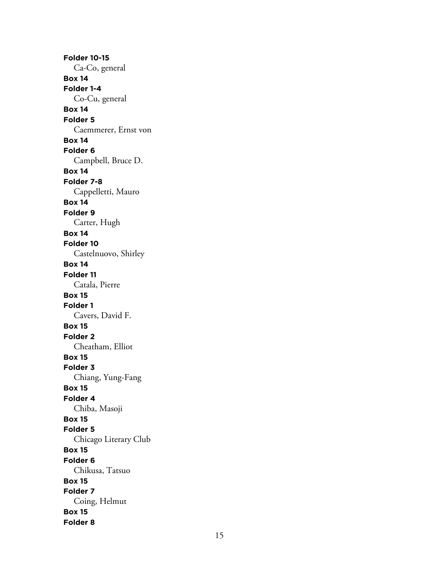**Folder 10-15** Ca-Co, general **Box 14 Folder 1-4** Co-Cu, general **Box 14 Folder 5** Caemmerer, Ernst von **Box 14 Folder 6** Campbell, Bruce D. **Box 14 Folder 7-8** Cappelletti, Mauro **Box 14 Folder 9** Carter, Hugh **Box 14 Folder 10** Castelnuovo, Shirley **Box 14 Folder 11** Catala, Pierre **Box 15 Folder 1** Cavers, David F. **Box 15 Folder 2** Cheatham, Elliot **Box 15 Folder 3** Chiang, Yung-Fang **Box 15 Folder 4** Chiba, Masoji **Box 15 Folder 5** Chicago Literary Club **Box 15 Folder 6** Chikusa, Tatsuo **Box 15 Folder 7** Coing, Helmut **Box 15 Folder 8**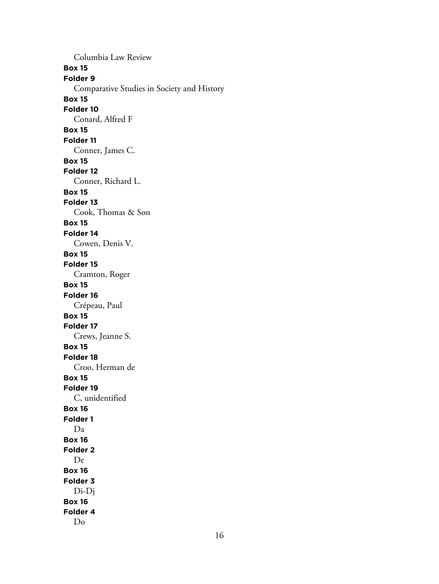Columbia Law Review **Box 15 Folder 9** Comparative Studies in Society and History **Box 15 Folder 10** Conard, Alfred F **Box 15 Folder 11** Conner, James C. **Box 15 Folder 12** Conner, Richard L. **Box 15 Folder 13** Cook, Thomas & Son **Box 15 Folder 14** Cowen, Denis V. **Box 15 Folder 15** Cramton, Roger **Box 15 Folder 16** Crépeau, Paul **Box 15 Folder 17** Crews, Jeanne S. **Box 15 Folder 18** Croo, Herman de **Box 15 Folder 19** C, unidentified **Box 16 Folder 1** Da **Box 16 Folder 2** De **Box 16 Folder 3** Di-Dj **Box 16 Folder 4** Do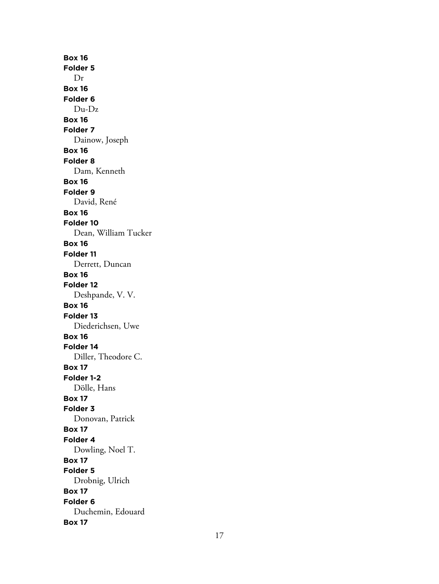**Box 16 Folder 5** Dr **Box 16 Folder 6** Du-Dz **Box 16 Folder 7** Dainow, Joseph **Box 16 Folder 8** Dam, Kenneth **Box 16 Folder 9** David, René **Box 16 Folder 10** Dean, William Tucker **Box 16 Folder 11** Derrett, Duncan **Box 16 Folder 12** Deshpande, V. V. **Box 16 Folder 13** Diederichsen, Uwe **Box 16 Folder 14** Diller, Theodore C. **Box 17 Folder 1-2** Dölle, Hans **Box 17 Folder 3** Donovan, Patrick **Box 17 Folder 4** Dowling, Noel T. **Box 17 Folder 5** Drobnig, Ulrich **Box 17 Folder 6** Duchemin, Edouard **Box 17**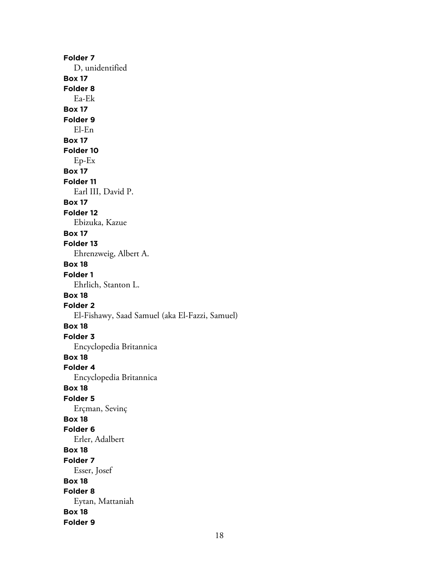**Folder 7** D, unidentified **Box 17 Folder 8** Ea-Ek **Box 17 Folder 9** El-En **Box 17 Folder 10** Ep-Ex **Box 17 Folder 11** Earl III, David P. **Box 17 Folder 12** Ebizuka, Kazue **Box 17 Folder 13** Ehrenzweig, Albert A. **Box 18 Folder 1** Ehrlich, Stanton L. **Box 18 Folder 2** El-Fishawy, Saad Samuel (aka El-Fazzi, Samuel) **Box 18 Folder 3** Encyclopedia Britannica **Box 18 Folder 4** Encyclopedia Britannica **Box 18 Folder 5** Erçman, Sevinç **Box 18 Folder 6** Erler, Adalbert **Box 18 Folder 7** Esser, Josef **Box 18 Folder 8** Eytan, Mattaniah **Box 18 Folder 9**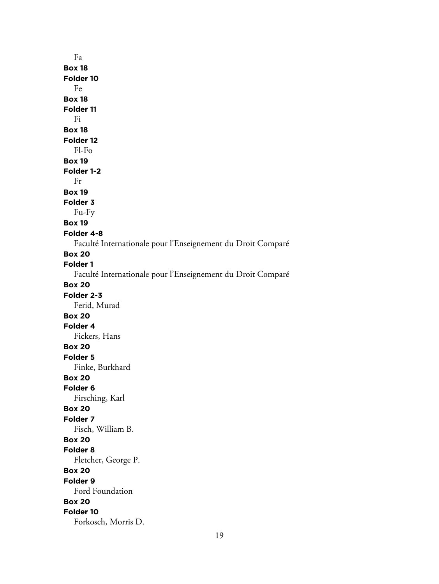Fa **Box 18 Folder 10** Fe **Box 18 Folder 11** Fi **Box 18 Folder 12** Fl-Fo **Box 19 Folder 1-2** Fr **Box 19 Folder 3** Fu-Fy **Box 19 Folder 4-8** Faculté Internationale pour l'Enseignement du Droit Comparé **Box 20 Folder 1** Faculté Internationale pour l'Enseignement du Droit Comparé **Box 20 Folder 2-3** Ferid, Murad **Box 20 Folder 4** Fickers, Hans **Box 20 Folder 5** Finke, Burkhard **Box 20 Folder 6** Firsching, Karl **Box 20 Folder 7** Fisch, William B. **Box 20 Folder 8** Fletcher, George P. **Box 20 Folder 9** Ford Foundation **Box 20 Folder 10** Forkosch, Morris D.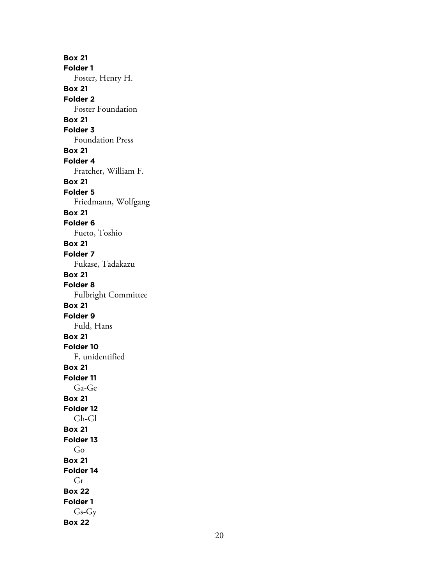**Box 21 Folder 1** Foster, Henry H. **Box 21 Folder 2** Foster Foundation **Box 21 Folder 3** Foundation Press **Box 21 Folder 4** Fratcher, William F. **Box 21 Folder 5** Friedmann, Wolfgang **Box 21 Folder 6** Fueto, Toshio **Box 21 Folder 7** Fukase, Tadakazu **Box 21 Folder 8** Fulbright Committee **Box 21 Folder 9** Fuld, Hans **Box 21 Folder 10** F, unidentified **Box 21 Folder 11** Ga-Ge **Box 21 Folder 12** Gh-Gl **Box 21 Folder 13** Go **Box 21 Folder 14** Gr **Box 22 Folder 1** Gs-Gy **Box 22**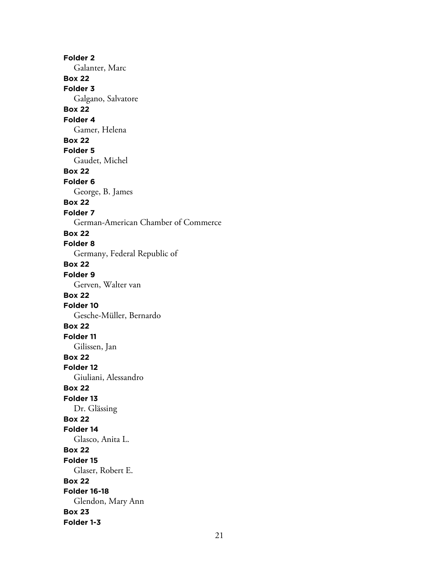**Folder 2** Galanter, Marc **Box 22 Folder 3** Galgano, Salvatore **Box 22 Folder 4** Gamer, Helena **Box 22 Folder 5** Gaudet, Michel **Box 22 Folder 6** George, B. James **Box 22 Folder 7** German-American Chamber of Commerce **Box 22 Folder 8** Germany, Federal Republic of **Box 22 Folder 9** Gerven, Walter van **Box 22 Folder 10** Gesche-Müller, Bernardo **Box 22 Folder 11** Gilissen, Jan **Box 22 Folder 12** Giuliani, Alessandro **Box 22 Folder 13** Dr. Glässing **Box 22 Folder 14** Glasco, Anita L. **Box 22 Folder 15** Glaser, Robert E. **Box 22 Folder 16-18** Glendon, Mary Ann **Box 23 Folder 1-3**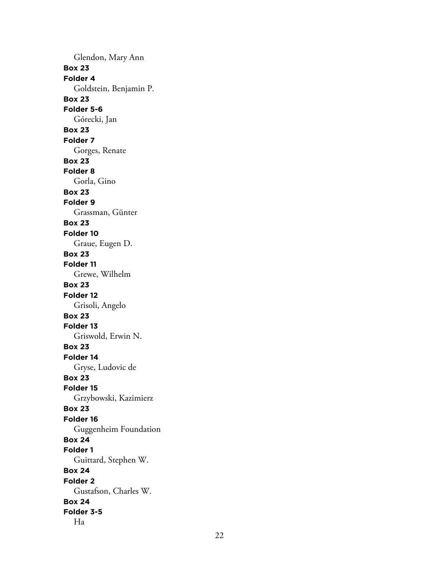Glendon, Mary Ann **Box 23 Folder 4** Goldstein, Benjamin P. **Box 23 Folder 5-6** Górecki, Jan **Box 23 Folder 7** Gorges, Renate **Box 23 Folder 8** Gorla, Gino **Box 23 Folder 9** Grassman, Günter **Box 23 Folder 10** Graue, Eugen D. **Box 23 Folder 11** Grewe, Wilhelm **Box 23 Folder 12** Grisoli, Angelo **Box 23 Folder 13** Griswold, Erwin N. **Box 23 Folder 14** Gryse, Ludovic de **Box 23 Folder 15** Grzybowski, Kazimierz **Box 23 Folder 16** Guggenheim Foundation **Box 24 Folder 1** Guittard, Stephen W. **Box 24 Folder 2** Gustafson, Charles W. **Box 24 Folder 3-5** Ha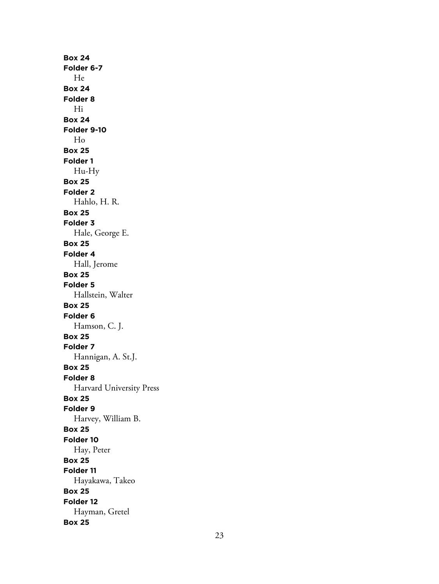**Box 24 Folder 6-7** He **Box 24 Folder 8** Hi **Box 24 Folder 9-10** Ho **Box 25 Folder 1** Hu-Hy **Box 25 Folder 2** Hahlo, H. R. **Box 25 Folder 3** Hale, George E. **Box 25 Folder 4** Hall, Jerome **Box 25 Folder 5** Hallstein, Walter **Box 25 Folder 6** Hamson, C. J. **Box 25 Folder 7** Hannigan, A. St.J. **Box 25 Folder 8** Harvard University Press **Box 25 Folder 9** Harvey, William B. **Box 25 Folder 10** Hay, Peter **Box 25 Folder 11** Hayakawa, Takeo **Box 25 Folder 12** Hayman, Gretel **Box 25**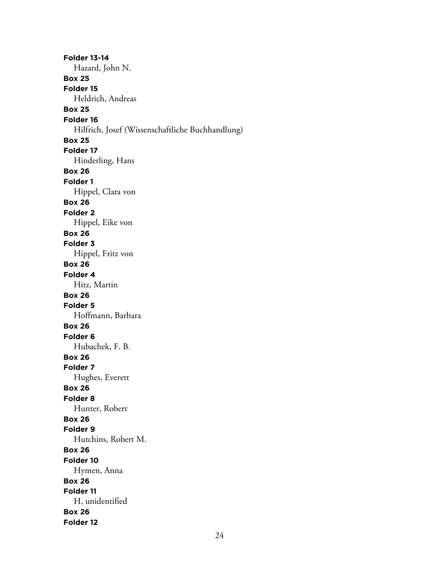**Folder 13-14** Hazard, John N. **Box 25 Folder 15** Heldrich, Andreas **Box 25 Folder 16** Hilfrich, Josef (Wissenschaftliche Buchhandlung) **Box 25 Folder 17** Hinderling, Hans **Box 26 Folder 1** Hippel, Clara von **Box 26 Folder 2** Hippel, Eike von **Box 26 Folder 3** Hippel, Fritz von **Box 26 Folder 4** Hitz, Martin **Box 26 Folder 5** Hoffmann, Barbara **Box 26 Folder 6** Hubachek, F. B. **Box 26 Folder 7** Hughes, Everett **Box 26 Folder 8** Hunter, Robert **Box 26 Folder 9** Hutchins, Robert M. **Box 26 Folder 10** Hymen, Anna **Box 26 Folder 11** H, unidentified **Box 26 Folder 12**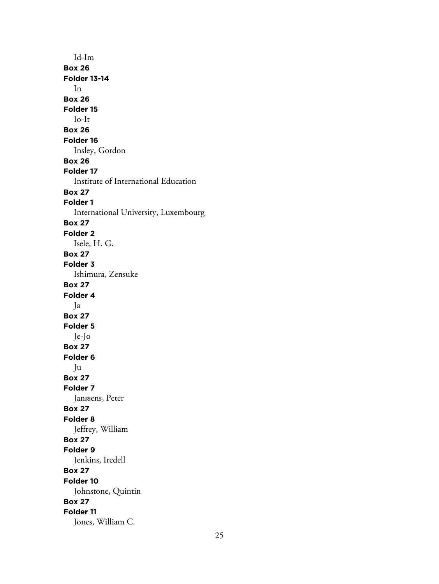Id-Im **Box 26 Folder 13-14** In **Box 26 Folder 15** Io-It **Box 26 Folder 16** Insley, Gordon **Box 26 Folder 17** Institute of International Education **Box 27 Folder 1** International University, Luxembourg **Box 27 Folder 2** Isele, H. G. **Box 27 Folder 3** Ishimura, Zensuke **Box 27 Folder 4** Ja **Box 27 Folder 5** Je-Jo **Box 27 Folder 6** Ju **Box 27 Folder 7** Janssens, Peter **Box 27 Folder 8** Jeffrey, William **Box 27 Folder 9** Jenkins, Iredell **Box 27 Folder 10** Johnstone, Quintin **Box 27 Folder 11** Jones, William C.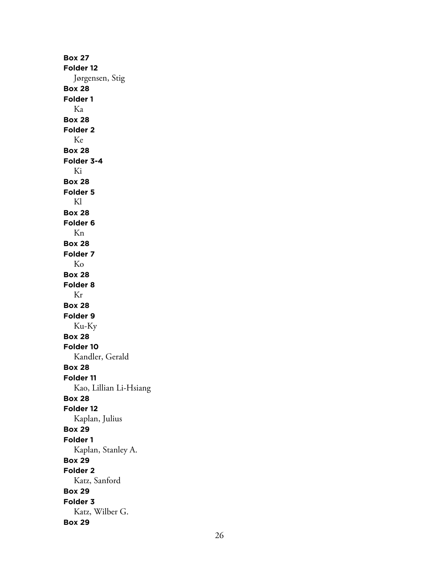**Box 27 Folder 12** Jørgensen, Stig **Box 28 Folder 1** Ka **Box 28 Folder 2** Ke **Box 28 Folder 3-4** Ki **Box 28 Folder 5** Kl **Box 28 Folder 6** Kn **Box 28 Folder 7** Ko **Box 28 Folder 8** Kr **Box 28 Folder 9** Ku-Ky **Box 28 Folder 10** Kandler, Gerald **Box 28 Folder 11** Kao, Lillian Li-Hsiang **Box 28 Folder 12** Kaplan, Julius **Box 29 Folder 1** Kaplan, Stanley A. **Box 29 Folder 2** Katz, Sanford **Box 29 Folder 3** Katz, Wilber G. **Box 29**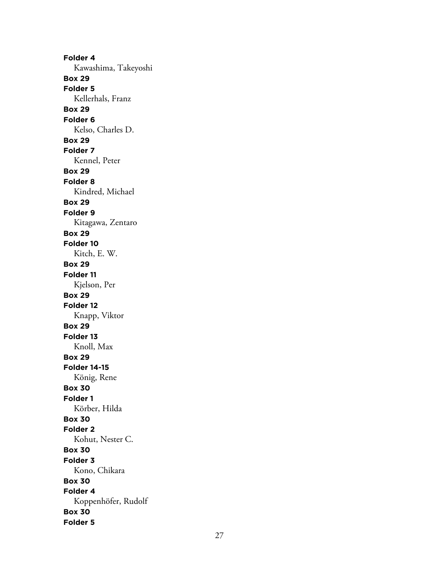**Folder 4** Kawashima, Takeyoshi **Box 29 Folder 5** Kellerhals, Franz **Box 29 Folder 6** Kelso, Charles D. **Box 29 Folder 7** Kennel, Peter **Box 29 Folder 8** Kindred, Michael **Box 29 Folder 9** Kitagawa, Zentaro **Box 29 Folder 10** Kitch, E. W. **Box 29 Folder 11** Kjelson, Per **Box 29 Folder 12** Knapp, Viktor **Box 29 Folder 13** Knoll, Max **Box 29 Folder 14-15** König, Rene **Box 30 Folder 1** Körber, Hilda **Box 30 Folder 2** Kohut, Nester C. **Box 30 Folder 3** Kono, Chikara **Box 30 Folder 4** Koppenhöfer, Rudolf **Box 30 Folder 5**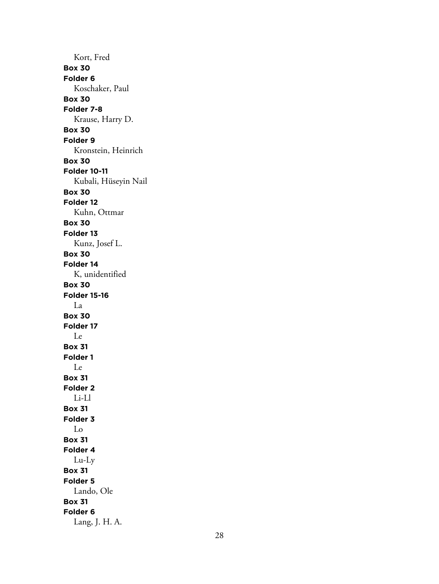Kort, Fred **Box 30 Folder 6** Koschaker, Paul **Box 30 Folder 7-8** Krause, Harry D. **Box 30 Folder 9** Kronstein, Heinrich **Box 30 Folder 10-11** Kubali, Hüseyin Nail **Box 30 Folder 12** Kuhn, Ottmar **Box 30 Folder 13** Kunz, Josef L. **Box 30 Folder 14** K, unidentified **Box 30 Folder 15-16** La **Box 30 Folder 17** Le **Box 31 Folder 1** Le **Box 31 Folder 2** Li-Ll **Box 31 Folder 3** Lo **Box 31 Folder 4** Lu-Ly **Box 31 Folder 5** Lando, Ole **Box 31 Folder 6** Lang, J. H. A.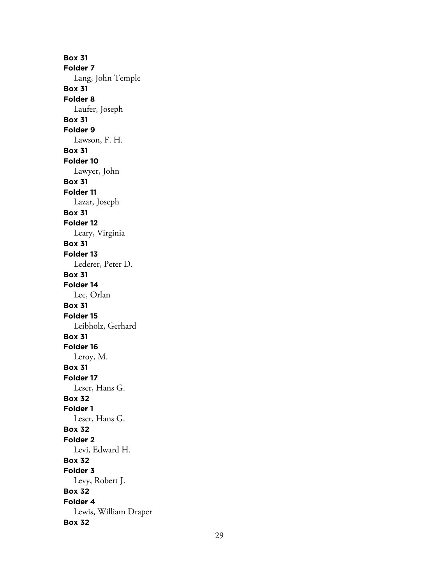**Box 31 Folder 7** Lang, John Temple **Box 31 Folder 8** Laufer, Joseph **Box 31 Folder 9** Lawson, F. H. **Box 31 Folder 10** Lawyer, John **Box 31 Folder 11** Lazar, Joseph **Box 31 Folder 12** Leary, Virginia **Box 31 Folder 13** Lederer, Peter D. **Box 31 Folder 14** Lee, Orlan **Box 31 Folder 15** Leibholz, Gerhard **Box 31 Folder 16** Leroy, M. **Box 31 Folder 17** Leser, Hans G. **Box 32 Folder 1** Leser, Hans G. **Box 32 Folder 2** Levi, Edward H. **Box 32 Folder 3** Levy, Robert J. **Box 32 Folder 4** Lewis, William Draper **Box 32**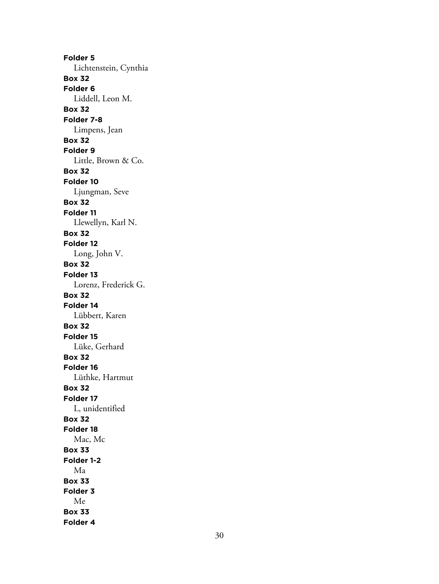**Folder 5** Lichtenstein, Cynthia **Box 32 Folder 6** Liddell, Leon M. **Box 32 Folder 7-8** Limpens, Jean **Box 32 Folder 9** Little, Brown & Co. **Box 32 Folder 10** Ljungman, Seve **Box 32 Folder 11** Llewellyn, Karl N. **Box 32 Folder 12** Long, John V. **Box 32 Folder 13** Lorenz, Frederick G. **Box 32 Folder 14** Lübbert, Karen **Box 32 Folder 15** Lüke, Gerhard **Box 32 Folder 16** Lüthke, Hartmut **Box 32 Folder 17** L, unidentified **Box 32 Folder 18** Mac, Mc **Box 33 Folder 1-2** Ma **Box 33 Folder 3** Me **Box 33 Folder 4**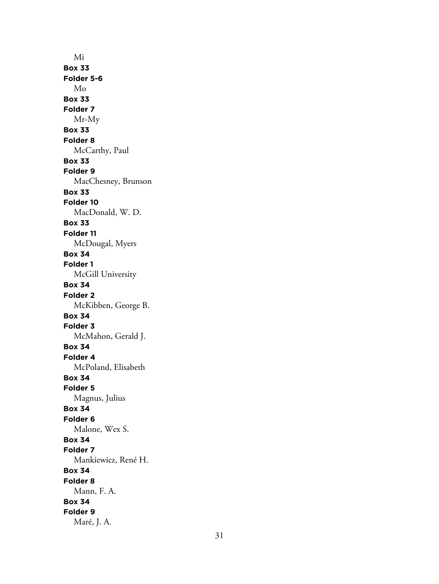Mi **Box 33 Folder 5-6** Mo **Box 33 Folder 7** Mr-My **Box 33 Folder 8** McCarthy, Paul **Box 33 Folder 9** MacChesney, Brunson **Box 33 Folder 10** MacDonald, W. D. **Box 33 Folder 11** McDougal, Myers **Box 34 Folder 1** McGill University **Box 34 Folder 2** McKibben, George B. **Box 34 Folder 3** McMahon, Gerald J. **Box 34 Folder 4** McPoland, Elisabeth **Box 34 Folder 5** Magnus, Julius **Box 34 Folder 6** Malone, Wex S. **Box 34 Folder 7** Mankiewicz, René H. **Box 34 Folder 8** Mann, F. A. **Box 34 Folder 9** Maré, J. A.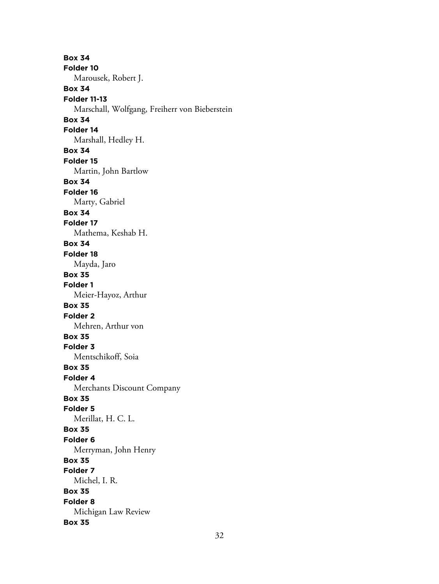**Box 34 Folder 10** Marousek, Robert J. **Box 34 Folder 11-13** Marschall, Wolfgang, Freiherr von Bieberstein **Box 34 Folder 14** Marshall, Hedley H. **Box 34 Folder 15** Martin, John Bartlow **Box 34 Folder 16** Marty, Gabriel **Box 34 Folder 17** Mathema, Keshab H. **Box 34 Folder 18** Mayda, Jaro **Box 35 Folder 1** Meier-Hayoz, Arthur **Box 35 Folder 2** Mehren, Arthur von **Box 35 Folder 3** Mentschikoff, Soia **Box 35 Folder 4** Merchants Discount Company **Box 35 Folder 5** Merillat, H. C. L. **Box 35 Folder 6** Merryman, John Henry **Box 35 Folder 7** Michel, I. R. **Box 35 Folder 8** Michigan Law Review **Box 35**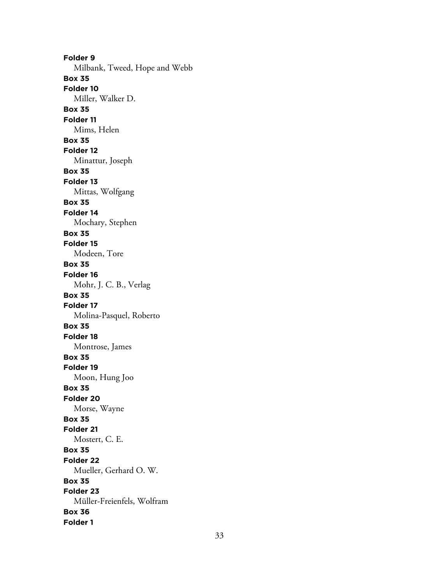**Folder 9** Milbank, Tweed, Hope and Webb **Box 35 Folder 10** Miller, Walker D. **Box 35 Folder 11** Mims, Helen **Box 35 Folder 12** Minattur, Joseph **Box 35 Folder 13** Mittas, Wolfgang **Box 35 Folder 14** Mochary, Stephen **Box 35 Folder 15** Modeen, Tore **Box 35 Folder 16** Mohr, J. C. B., Verlag **Box 35 Folder 17** Molina-Pasquel, Roberto **Box 35 Folder 18** Montrose, James **Box 35 Folder 19** Moon, Hung Joo **Box 35 Folder 20** Morse, Wayne **Box 35 Folder 21** Mostert, C. E. **Box 35 Folder 22** Mueller, Gerhard O. W. **Box 35 Folder 23** Müller-Freienfels, Wolfram **Box 36 Folder 1**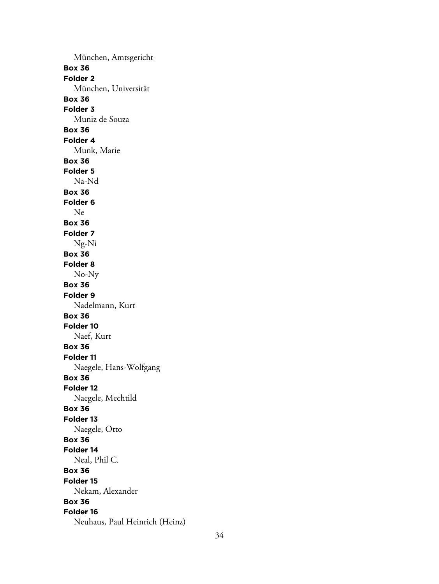München, Amtsgericht **Box 36 Folder 2** München, Universität **Box 36 Folder 3** Muniz de Souza **Box 36 Folder 4** Munk, Marie **Box 36 Folder 5** Na-Nd **Box 36 Folder 6** Ne **Box 36 Folder 7** Ng-Ni **Box 36 Folder 8** No-Ny **Box 36 Folder 9** Nadelmann, Kurt **Box 36 Folder 10** Naef, Kurt **Box 36 Folder 11** Naegele, Hans-Wolfgang **Box 36 Folder 12** Naegele, Mechtild **Box 36 Folder 13** Naegele, Otto **Box 36 Folder 14** Neal, Phil C. **Box 36 Folder 15** Nekam, Alexander **Box 36 Folder 16** Neuhaus, Paul Heinrich (Heinz)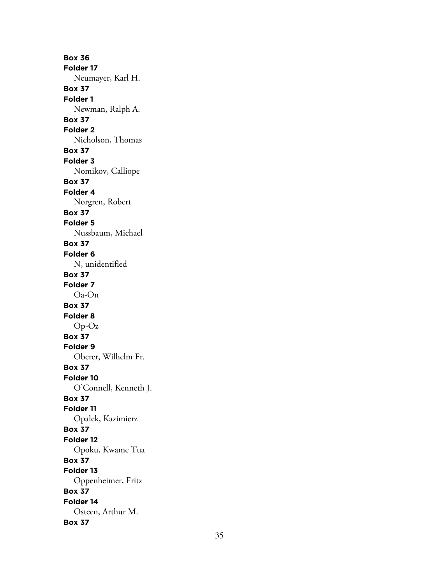**Box 36 Folder 17** Neumayer, Karl H. **Box 37 Folder 1** Newman, Ralph A. **Box 37 Folder 2** Nicholson, Thomas **Box 37 Folder 3** Nomikov, Calliope **Box 37 Folder 4** Norgren, Robert **Box 37 Folder 5** Nussbaum, Michael **Box 37 Folder 6** N, unidentified **Box 37 Folder 7** Oa-On **Box 37 Folder 8** Op-Oz **Box 37 Folder 9** Oberer, Wilhelm Fr. **Box 37 Folder 10** O'Connell, Kenneth J. **Box 37 Folder 11** Opalek, Kazimierz **Box 37 Folder 12** Opoku, Kwame Tua **Box 37 Folder 13** Oppenheimer, Fritz **Box 37 Folder 14** Osteen, Arthur M. **Box 37**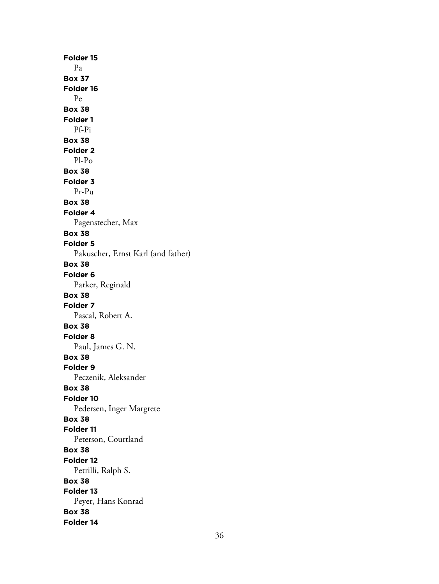**Folder 15** Pa **Box 37 Folder 16** Pe **Box 38 Folder 1** Pf-Pi **Box 38 Folder 2** Pl-Po **Box 38 Folder 3** Pr-Pu **Box 38 Folder 4** Pagenstecher, Max **Box 38 Folder 5** Pakuscher, Ernst Karl (and father) **Box 38 Folder 6** Parker, Reginald **Box 38 Folder 7** Pascal, Robert A. **Box 38 Folder 8** Paul, James G. N. **Box 38 Folder 9** Peczenik, Aleksander **Box 38 Folder 10** Pedersen, Inger Margrete **Box 38 Folder 11** Peterson, Courtland **Box 38 Folder 12** Petrilli, Ralph S. **Box 38 Folder 13** Peyer, Hans Konrad **Box 38 Folder 14**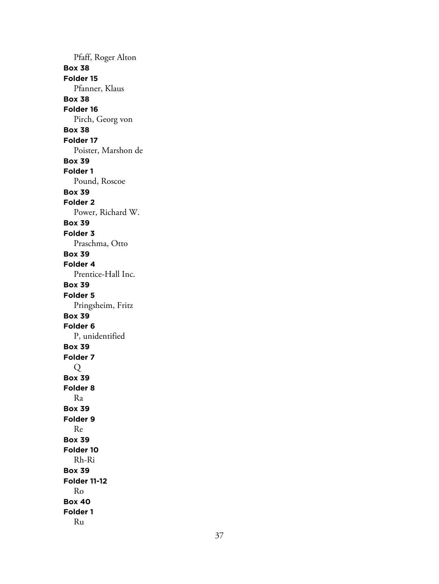Pfaff, Roger Alton **Box 38 Folder 15** Pfanner, Klaus **Box 38 Folder 16** Pirch, Georg von **Box 38 Folder 17** Poister, Marshon de **Box 39 Folder 1** Pound, Roscoe **Box 39 Folder 2** Power, Richard W. **Box 39 Folder 3** Praschma, Otto **Box 39 Folder 4** Prentice-Hall Inc. **Box 39 Folder 5** Pringsheim, Fritz **Box 39 Folder 6** P, unidentified **Box 39 Folder 7** Q **Box 39 Folder 8** Ra **Box 39 Folder 9** Re **Box 39 Folder 10** Rh-Ri **Box 39 Folder 11-12** Ro **Box 40 Folder 1** Ru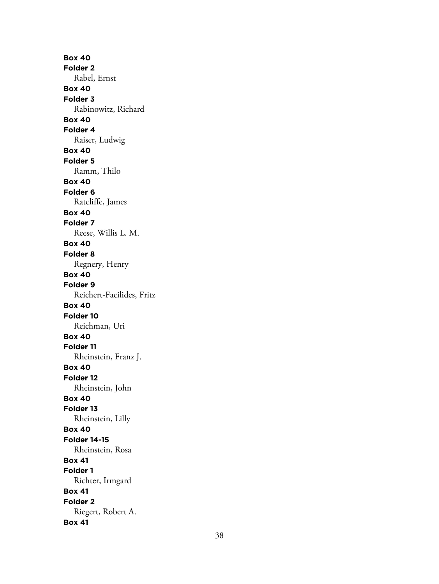**Box 40 Folder 2** Rabel, Ernst **Box 40 Folder 3** Rabinowitz, Richard **Box 40 Folder 4** Raiser, Ludwig **Box 40 Folder 5** Ramm, Thilo **Box 40 Folder 6** Ratcliffe, James **Box 40 Folder 7** Reese, Willis L. M. **Box 40 Folder 8** Regnery, Henry **Box 40 Folder 9** Reichert-Facilides, Fritz **Box 40 Folder 10** Reichman, Uri **Box 40 Folder 11** Rheinstein, Franz J. **Box 40 Folder 12** Rheinstein, John **Box 40 Folder 13** Rheinstein, Lilly **Box 40 Folder 14-15** Rheinstein, Rosa **Box 41 Folder 1** Richter, Irmgard **Box 41 Folder 2** Riegert, Robert A. **Box 41**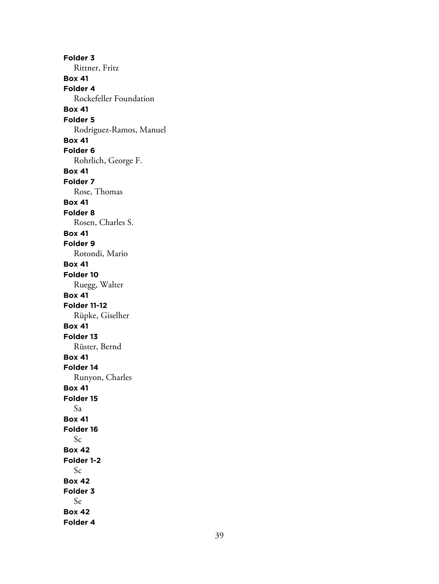**Folder 3** Rittner, Fritz **Box 41 Folder 4** Rockefeller Foundation **Box 41 Folder 5** Rodriguez-Ramos, Manuel **Box 41 Folder 6** Rohrlich, George F. **Box 41 Folder 7** Rose, Thomas **Box 41 Folder 8** Rosen, Charles S. **Box 41 Folder 9** Rotondi, Mario **Box 41 Folder 10** Ruegg, Walter **Box 41 Folder 11-12** Rüpke, Giselher **Box 41 Folder 13** Rüster, Bernd **Box 41 Folder 14** Runyon, Charles **Box 41 Folder 15** Sa **Box 41 Folder 16** Sc **Box 42 Folder 1-2** Sc **Box 42 Folder 3** Se **Box 42 Folder 4**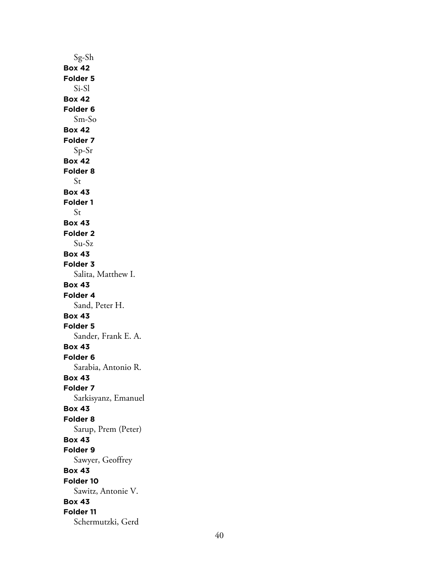Sg-Sh **Box 42 Folder 5** Si-Sl **Box 42 Folder 6** Sm-So **Box 42 Folder 7** Sp-Sr **Box 42 Folder 8** St **Box 43 Folder 1** St **Box 43 Folder 2** Su-Sz **Box 43 Folder 3** Salita, Matthew I. **Box 43 Folder 4** Sand, Peter H. **Box 43 Folder 5** Sander, Frank E. A. **Box 43 Folder 6** Sarabia, Antonio R. **Box 43 Folder 7** Sarkisyanz, Emanuel **Box 43 Folder 8** Sarup, Prem (Peter) **Box 43 Folder 9** Sawyer, Geoffrey **Box 43 Folder 10** Sawitz, Antonie V. **Box 43 Folder 11** Schermutzki, Gerd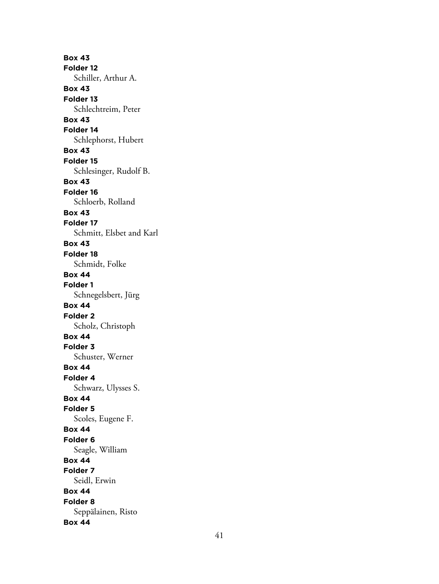**Box 43 Folder 12** Schiller, Arthur A. **Box 43 Folder 13** Schlechtreim, Peter **Box 43 Folder 14** Schlephorst, Hubert **Box 43 Folder 15** Schlesinger, Rudolf B. **Box 43 Folder 16** Schloerb, Rolland **Box 43 Folder 17** Schmitt, Elsbet and Karl **Box 43 Folder 18** Schmidt, Folke **Box 44 Folder 1** Schnegelsbert, Jürg **Box 44 Folder 2** Scholz, Christoph **Box 44 Folder 3** Schuster, Werner **Box 44 Folder 4** Schwarz, Ulysses S. **Box 44 Folder 5** Scoles, Eugene F. **Box 44 Folder 6** Seagle, William **Box 44 Folder 7** Seidl, Erwin **Box 44 Folder 8** Seppälainen, Risto **Box 44**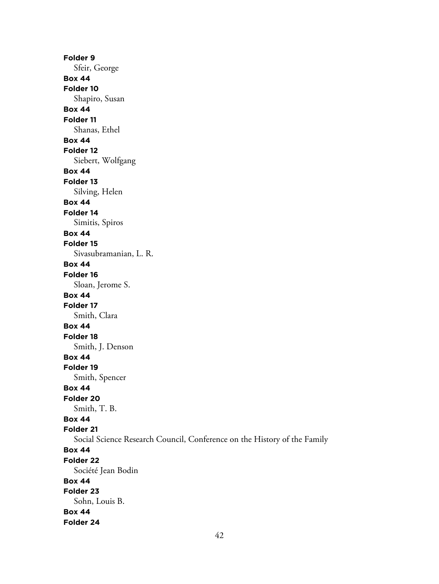**Folder 9** Sfeir, George **Box 44 Folder 10** Shapiro, Susan **Box 44 Folder 11** Shanas, Ethel **Box 44 Folder 12** Siebert, Wolfgang **Box 44 Folder 13** Silving, Helen **Box 44 Folder 14** Simitis, Spiros **Box 44 Folder 15** Sivasubramanian, L. R. **Box 44 Folder 16** Sloan, Jerome S. **Box 44 Folder 17** Smith, Clara **Box 44 Folder 18** Smith, J. Denson **Box 44 Folder 19** Smith, Spencer **Box 44 Folder 20** Smith, T. B. **Box 44 Folder 21** Social Science Research Council, Conference on the History of the Family **Box 44 Folder 22** Société Jean Bodin **Box 44 Folder 23** Sohn, Louis B. **Box 44 Folder 24**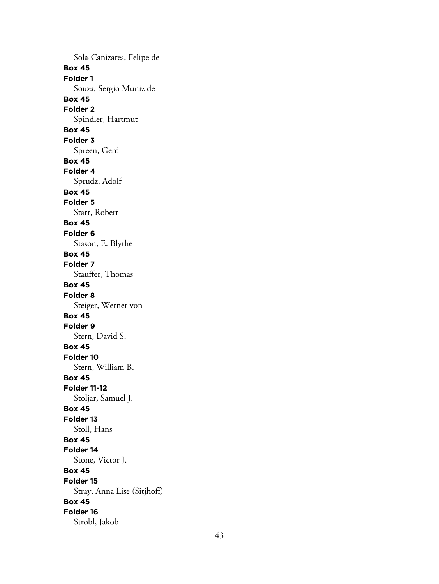Sola-Canizares, Felipe de **Box 45 Folder 1** Souza, Sergio Muniz de **Box 45 Folder 2** Spindler, Hartmut **Box 45 Folder 3** Spreen, Gerd **Box 45 Folder 4** Sprudz, Adolf **Box 45 Folder 5** Starr, Robert **Box 45 Folder 6** Stason, E. Blythe **Box 45 Folder 7** Stauffer, Thomas **Box 45 Folder 8** Steiger, Werner von **Box 45 Folder 9** Stern, David S. **Box 45 Folder 10** Stern, William B. **Box 45 Folder 11-12** Stoljar, Samuel J. **Box 45 Folder 13** Stoll, Hans **Box 45 Folder 14** Stone, Victor J. **Box 45 Folder 15** Stray, Anna Lise (Sitjhoff) **Box 45 Folder 16** Strobl, Jakob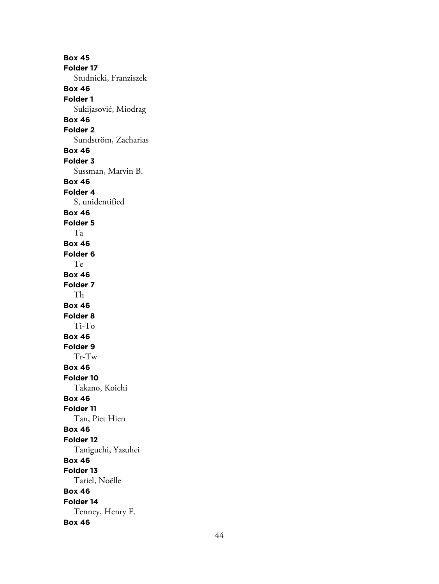**Box 45 Folder 17** Studnicki, Franziszek **Box 46 Folder 1** Sukijasović, Miodrag **Box 46 Folder 2** Sundström, Zacharias **Box 46 Folder 3** Sussman, Marvin B. **Box 46 Folder 4** S, unidentified **Box 46 Folder 5** Ta **Box 46 Folder 6** Te **Box 46 Folder 7** Th **Box 46 Folder 8** Ti-To **Box 46 Folder 9** Tr-Tw **Box 46 Folder 10** Takano, Koichi **Box 46 Folder 11** Tan, Piet Hien **Box 46 Folder 12** Taniguchi, Yasuhei **Box 46 Folder 13** Tariel, Noëlle **Box 46 Folder 14** Tenney, Henry F. **Box 46**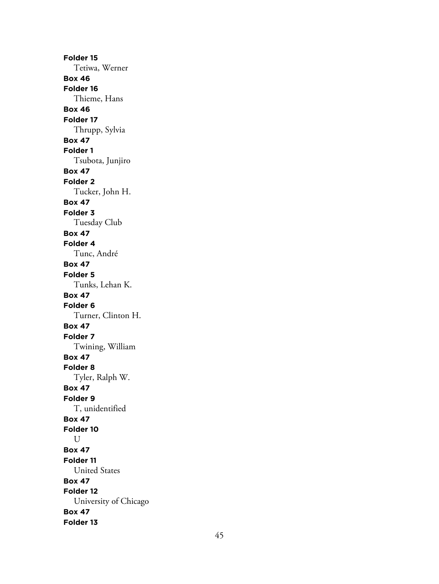**Folder 15** Tetiwa, Werner **Box 46 Folder 16** Thieme, Hans **Box 46 Folder 17** Thrupp, Sylvia **Box 47 Folder 1** Tsubota, Junjiro **Box 47 Folder 2** Tucker, John H. **Box 47 Folder 3** Tuesday Club **Box 47 Folder 4** Tunc, André **Box 47 Folder 5** Tunks, Lehan K. **Box 47 Folder 6** Turner, Clinton H. **Box 47 Folder 7** Twining, William **Box 47 Folder 8** Tyler, Ralph W. **Box 47 Folder 9** T, unidentified **Box 47 Folder 10** U **Box 47 Folder 11** United States **Box 47 Folder 12** University of Chicago **Box 47 Folder 13**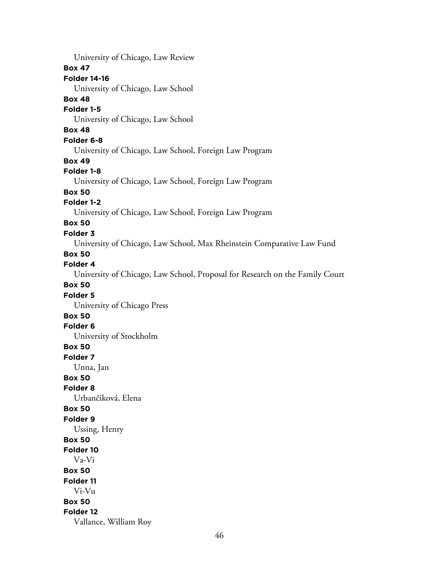46 University of Chicago, Law Review **Box 47 Folder 14-16** University of Chicago, Law School **Box 48 Folder 1-5** University of Chicago, Law School **Box 48 Folder 6-8** University of Chicago, Law School, Foreign Law Program **Box 49 Folder 1-8** University of Chicago, Law School, Foreign Law Program **Box 50 Folder 1-2** University of Chicago, Law School, Foreign Law Program **Box 50 Folder 3** University of Chicago, Law School, Max Rheinstein Comparative Law Fund **Box 50 Folder 4** University of Chicago, Law School, Proposal for Research on the Family Court **Box 50 Folder 5** University of Chicago Press **Box 50 Folder 6** University of Stockholm **Box 50 Folder 7** Unna, Jan **Box 50 Folder 8** Urbančiková, Elena **Box 50 Folder 9** Ussing, Henry **Box 50 Folder 10** Va-Vi **Box 50 Folder 11** Vi-Vu **Box 50 Folder 12** Vallance, William Roy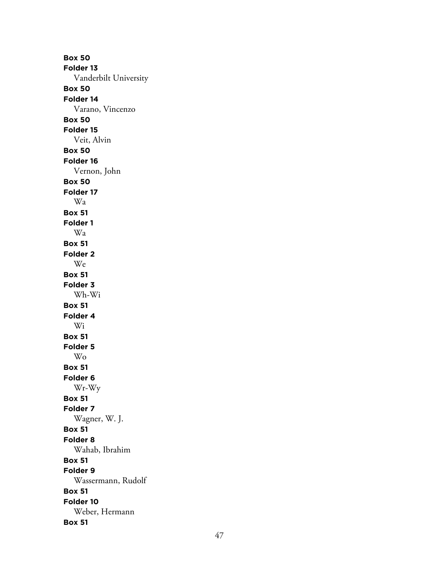**Box 50 Folder 13** Vanderbilt University **Box 50 Folder 14** Varano, Vincenzo **Box 50 Folder 15** Veit, Alvin **Box 50 Folder 16** Vernon, John **Box 50 Folder 17** Wa **Box 51 Folder 1** Wa **Box 51 Folder 2** We **Box 51 Folder 3** Wh-Wi **Box 51 Folder 4** Wi **Box 51 Folder 5** Wo **Box 51 Folder 6** Wr-Wy **Box 51 Folder 7** Wagner, W. J. **Box 51 Folder 8** Wahab, Ibrahim **Box 51 Folder 9** Wassermann, Rudolf **Box 51 Folder 10** Weber, Hermann **Box 51**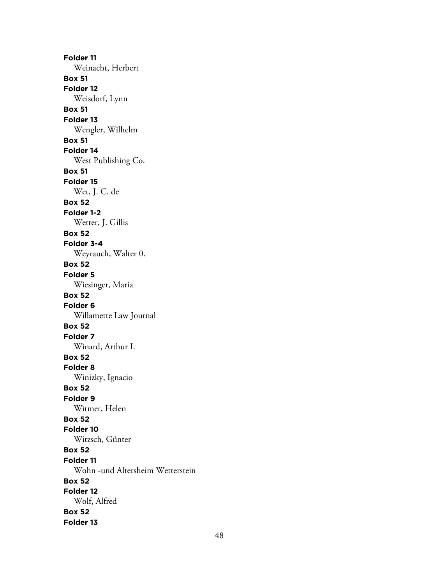**Folder 11** Weinacht, Herbert **Box 51 Folder 12** Weisdorf, Lynn **Box 51 Folder 13** Wengler, Wilhelm **Box 51 Folder 14** West Publishing Co. **Box 51 Folder 15** Wet, J. C. de **Box 52 Folder 1-2** Wetter, J. Gillis **Box 52 Folder 3-4** Weyrauch, Walter 0. **Box 52 Folder 5** Wiesinger, Maria **Box 52 Folder 6** Willamette Law Journal **Box 52 Folder 7** Winard, Arthur I. **Box 52 Folder 8** Winizky, Ignacio **Box 52 Folder 9** Witmer, Helen **Box 52 Folder 10** Witzsch, Günter **Box 52 Folder 11** Wohn -und Altersheim Wetterstein **Box 52 Folder 12** Wolf, Alfred **Box 52 Folder 13**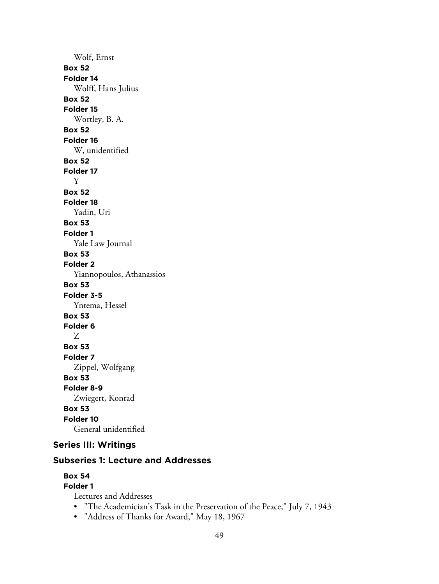Wolf, Ernst **Box 52 Folder 14** Wolff, Hans Julius **Box 52 Folder 15** Wortley, B. A. **Box 52 Folder 16** W, unidentified **Box 52 Folder 17** Y **Box 52 Folder 18** Yadin, Uri **Box 53 Folder 1** Yale Law Journal **Box 53 Folder 2** Yiannopoulos, Athanassios **Box 53 Folder 3-5** Yntema, Hessel **Box 53 Folder 6** Z **Box 53 Folder 7** Zippel, Wolfgang **Box 53 Folder 8-9** Zwiegert, Konrad **Box 53 Folder 10** General unidentified

# **Series III: Writings**

### **Subseries 1: Lecture and Addresses**

# **Box 54**

**Folder 1**

Lectures and Addresses

- "The Academician's Task in the Preservation of the Peace," July 7, 1943
- "Address of Thanks for Award," May 18, 1967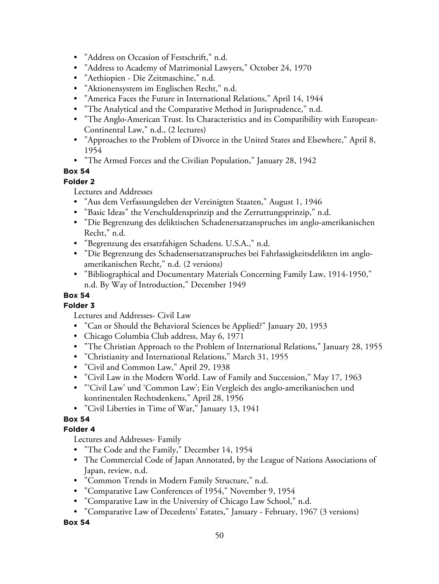- "Address on Occasion of Festschrift," n.d.
- "Address to Academy of Matrimonial Lawyers," October 24, 1970
- "Aethiopien Die Zeitmaschine," n.d.
- "Aktionensystem im Englischen Recht," n.d.
- "America Faces the Future in International Relations," April 14, 1944
- "The Analytical and the Comparative Method in Jurisprudence," n.d.
- "The Anglo-American Trust. Its Characteristics and its Compatibility with European-Continental Law," n.d., (2 lectures)
- "Approaches to the Problem of Divorce in the United States and Elsewhere," April 8, 1954
- "The Armed Forces and the Civilian Population," January 28, 1942

#### **Folder 2**

Lectures and Addresses

- "Aus dem Verfassungsleben der Vereinigten Staaten," August 1, 1946
- "Basic Ideas" the Verschuldensprinzip and the Zerruttungsprinzip," n.d.
- "Die Begrenzung des deliktischen Schadenersatzanspruches im anglo-amerikanischen Recht," n.d.
- "Begrenzung des ersatzfahigen Schadens. U.S.A.," n.d.
- "Die Begrenzung des Schadensersatzanspruches bei Fahrlassigkeitsdelikten im angloamerikanischen Recht," n.d. (2 versions)
- "Bibliographical and Documentary Materials Concerning Family Law, 1914-1950," n.d. By Way of Introduction," December 1949

# **Box 54**

**Folder 3** Lectures and Addresses- Civil Law

- "Can or Should the Behavioral Sciences be Applied?" January 20, 1953
- Chicago Columbia Club address, May 6, 1971
- "The Christian Approach to the Problem of International Relations," January 28, 1955
- "Christianity and International Relations," March 31, 1955
- "Civil and Common Law," April 29, 1938
- "Civil Law in the Modern World. Law of Family and Succession," May 17, 1963
- "'Civil Law' und 'Common Law'; Ein Vergleich des anglo-amerikanischen und kontinentalen Rechtsdenkens," April 28, 1956
- "Civil Liberties in Time of War," January 13, 1941

## **Box 54**

#### **Folder 4**

Lectures and Addresses- Family

- "The Code and the Family," December 14, 1954
- The Commercial Code of Japan Annotated, by the League of Nations Associations of Japan, review, n.d.
- "Common Trends in Modern Family Structure," n.d.
- "Comparative Law Conferences of 1954," November 9, 1954
- "Comparative Law in the University of Chicago Law School," n.d.
- "Comparative Law of Decedents' Estates," January February, 1967 (3 versions)

**Box 54**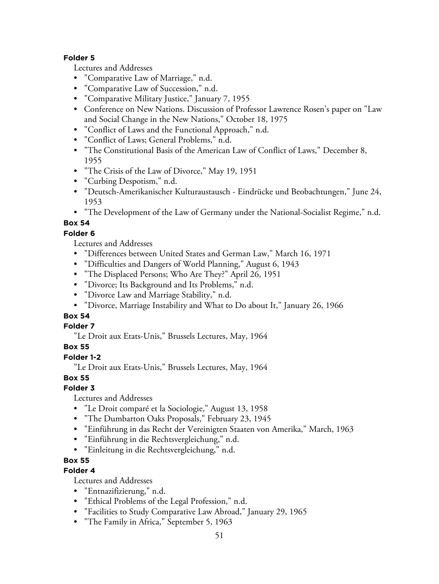#### **Folder 5**

Lectures and Addresses

- "Comparative Law of Marriage," n.d.
- "Comparative Law of Succession," n.d.
- "Comparative Military Justice," January 7, 1955
- Conference on New Nations. Discussion of Professor Lawrence Rosen's paper on "Law and Social Change in the New Nations," October 18, 1975
- "Conflict of Laws and the Functional Approach," n.d.
- "Conflict of Laws; General Problems," n.d.
- "The Constitutional Basis of the American Law of Conflict of Laws," December 8, 1955
- "The Crisis of the Law of Divorce," May 19, 1951
- "Curbing Despotism," n.d.
- "Deutsch-Amerikanischer Kulturaustausch Eindrücke und Beobachtungen," June 24, 1953
- "The Development of the Law of Germany under the National-Socialist Regime," n.d.

# **Box 54**

## **Folder 6**

Lectures and Addresses

- "Differences between United States and German Law," March 16, 1971
- "Difficulties and Dangers of World Planning," August 6, 1943
- "The Displaced Persons; Who Are They?" April 26, 1951
- "Divorce; Its Background and Its Problems," n.d.
- "Divorce Law and Marriage Stability," n.d.
- "Divorce, Marriage Instability and What to Do about It," January 26, 1966

# **Box 54**

#### **Folder 7**

"Le Droit aux Etats-Unis," Brussels Lectures, May, 1964

## **Box 55**

## **Folder 1-2**

"Le Droit aux Etats-Unis," Brussels Lectures, May, 1964

## **Box 55**

# **Folder 3**

Lectures and Addresses

- "Le Droit comparé et la Sociologie," August 13, 1958
- "The Dumbarton Oaks Proposals," February 23, 1945
- "Einführung in das Recht der Vereinigten Staaten von Amerika," March, 1963
- "Einführung in die Rechtsvergleichung," n.d.
- "Einleitung in die Rechtsvergleichung," n.d.

# **Box 55**

# **Folder 4**

Lectures and Addresses

- "Entnazifizierung," n.d.
- "Ethical Problems of the Legal Profession," n.d.
- "Facilities to Study Comparative Law Abroad," January 29, 1965
- "The Family in Africa," September 5, 1963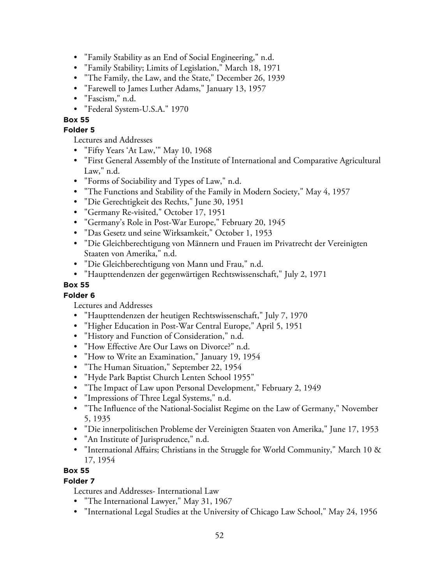- "Family Stability as an End of Social Engineering," n.d.
- "Family Stability; Limits of Legislation," March 18, 1971
- "The Family, the Law, and the State," December 26, 1939
- "Farewell to James Luther Adams," January 13, 1957
- "Fascism," n.d.
- "Federal System-U.S.A." 1970

#### **Folder 5**

Lectures and Addresses

- "Fifty Years 'At Law,'" May 10, 1968
- "First General Assembly of the Institute of International and Comparative Agricultural Law," n.d.
- "Forms of Sociability and Types of Law," n.d.
- "The Functions and Stability of the Family in Modern Society," May 4, 1957
- "Die Gerechtigkeit des Rechts," June 30, 1951
- "Germany Re-visited," October 17, 1951
- "Germany's Role in Post-War Europe," February 20, 1945
- "Das Gesetz und seine Wirksamkeit," October 1, 1953
- "Die Gleichberechtigung von Männern und Frauen im Privatrecht der Vereinigten Staaten von Amerika," n.d.
- "Die Gleichberechtigung von Mann und Frau," n.d.
- "Haupttendenzen der gegenwärtigen Rechtswissenschaft," July 2, 1971

#### **Box 55**

#### **Folder 6**

Lectures and Addresses

- "Haupttendenzen der heutigen Rechtswissenschaft," July 7, 1970
- "Higher Education in Post-War Central Europe," April 5, 1951
- "History and Function of Consideration," n.d.
- "How Effective Are Our Laws on Divorce?" n.d.
- "How to Write an Examination," January 19, 1954
- "The Human Situation," September 22, 1954
- "Hyde Park Baptist Church Lenten School 1955"
- "The Impact of Law upon Personal Development," February 2, 1949
- "Impressions of Three Legal Systems," n.d.
- "The Influence of the National-Socialist Regime on the Law of Germany," November 5, 1935
- "Die innerpolitischen Probleme der Vereinigten Staaten von Amerika," June 17, 1953
- "An Institute of Jurisprudence," n.d.
- "International Affairs; Christians in the Struggle for World Community," March 10 & 17, 1954

#### **Box 55**

#### **Folder 7**

Lectures and Addresses- International Law

- "The International Lawyer," May 31, 1967
- "International Legal Studies at the University of Chicago Law School," May 24, 1956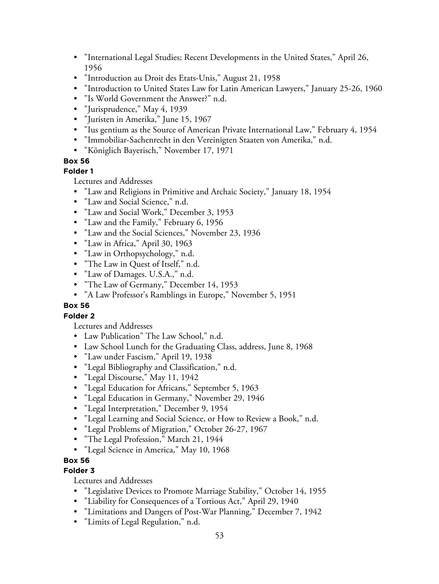- "International Legal Studies; Recent Developments in the United States," April 26, 1956
- "Introduction au Droit des Etats-Unis," August 21, 1958
- "Introduction to United States Law for Latin American Lawyers," January 25-26, 1960
- "Is World Government the Answer?" n.d.
- "Jurisprudence," May 4, 1939
- "Juristen in Amerika," June 15, 1967
- "Ius gentium as the Source of American Private International Law," February 4, 1954
- "Immobiliar-Sachenrecht in den Vereinigten Staaten von Amerika," n.d.
- "Königlich Bayerisch," November 17, 1971

#### **Folder 1**

Lectures and Addresses

- "Law and Religions in Primitive and Archaic Society," January 18, 1954
- "Law and Social Science," n.d.
- "Law and Social Work," December 3, 1953
- "Law and the Family," February 6, 1956
- "Law and the Social Sciences," November 23, 1936
- "Law in Africa," April 30, 1963
- "Law in Orthopsychology," n.d.
- "The Law in Quest of Itself," n.d.
- "Law of Damages. U.S.A.," n.d.
- "The Law of Germany," December 14, 1953
- "A Law Professor's Ramblings in Europe," November 5, 1951

#### **Box 56**

#### **Folder 2**

Lectures and Addresses

- Law Publication" The Law School," n.d.
- Law School Lunch for the Graduating Class, address, June 8, 1968
- "Law under Fascism," April 19, 1938
- "Legal Bibliography and Classification," n.d.
- "Legal Discourse," May 11, 1942
- "Legal Education for Africans," September 5, 1963
- "Legal Education in Germany," November 29, 1946
- "Legal Interpretation," December 9, 1954
- "Legal Learning and Social Science, or How to Review a Book," n.d.
- "Legal Problems of Migration," October 26-27, 1967
- "The Legal Profession," March 21, 1944
- "Legal Science in America," May 10, 1968

## **Box 56**

## **Folder 3**

Lectures and Addresses

- "Legislative Devices to Promote Marriage Stability," October 14, 1955
- "Liability for Consequences of a Tortious Act," April 29, 1940
- "Limitations and Dangers of Post-War Planning," December 7, 1942
- "Limits of Legal Regulation," n.d.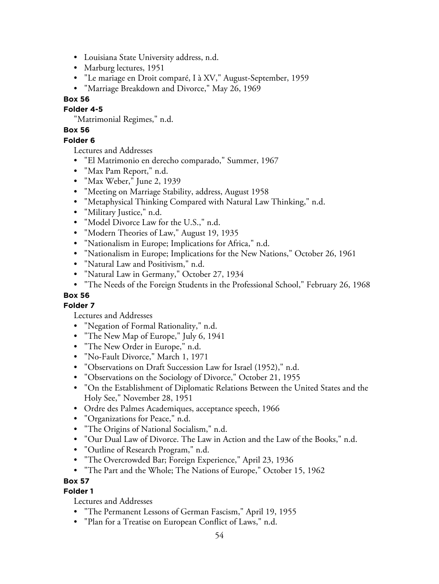- Louisiana State University address, n.d.
- Marburg lectures, 1951
- "Le mariage en Droit comparé, I à XV," August-September, 1959
- "Marriage Breakdown and Divorce," May 26, 1969

#### **Folder 4-5**

"Matrimonial Regimes," n.d.

## **Box 56**

### **Folder 6**

Lectures and Addresses

- "El Matrimonio en derecho comparado," Summer, 1967
- "Max Pam Report," n.d.
- "Max Weber," June 2, 1939
- "Meeting on Marriage Stability, address, August 1958
- "Metaphysical Thinking Compared with Natural Law Thinking," n.d.
- "Military Justice," n.d.
- "Model Divorce Law for the U.S.," n.d.
- "Modern Theories of Law," August 19, 1935
- "Nationalism in Europe; Implications for Africa," n.d.
- "Nationalism in Europe; Implications for the New Nations," October 26, 1961
- "Natural Law and Positivism," n.d.
- "Natural Law in Germany," October 27, 1934
- "The Needs of the Foreign Students in the Professional School," February 26, 1968

## **Box 56**

# **Folder 7**

Lectures and Addresses

- "Negation of Formal Rationality," n.d.
- "The New Map of Europe," July 6, 1941
- "The New Order in Europe," n.d.
- "No-Fault Divorce," March 1, 1971
- "Observations on Draft Succession Law for Israel (1952)," n.d.
- "Observations on the Sociology of Divorce," October 21, 1955
- "On the Establishment of Diplomatic Relations Between the United States and the Holy See," November 28, 1951
- Ordre des Palmes Academiques, acceptance speech, 1966
- "Organizations for Peace," n.d.
- "The Origins of National Socialism," n.d.
- "Our Dual Law of Divorce. The Law in Action and the Law of the Books," n.d.
- "Outline of Research Program," n.d.
- "The Overcrowded Bar; Foreign Experience," April 23, 1936
- "The Part and the Whole; The Nations of Europe," October 15, 1962

#### **Box 57**

#### **Folder 1**

Lectures and Addresses

- "The Permanent Lessons of German Fascism," April 19, 1955
- "Plan for a Treatise on European Conflict of Laws," n.d.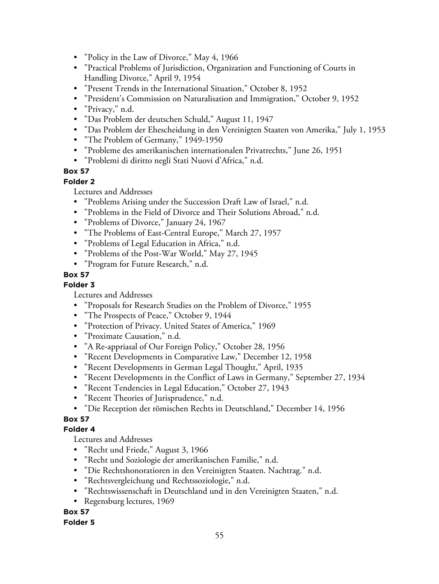- "Policy in the Law of Divorce," May 4, 1966
- "Practical Problems of Jurisdiction, Organization and Functioning of Courts in Handling Divorce," April 9, 1954
- "Present Trends in the International Situation," October 8, 1952
- "President's Commission on Naturalisation and Immigration," October 9, 1952
- "Privacy," n.d.
- "Das Problem der deutschen Schuld," August 11, 1947
- "Das Problem der Ehescheidung in den Vereinigten Staaten von Amerika," July 1, 1953
- "The Problem of Germany," 1949-1950
- "Probleme des amerikanischen internationalen Privatrechts," June 26, 1951
- "Problemi di diritto negli Stati Nuovi d'Africa," n.d.

#### **Folder 2**

Lectures and Addresses

- "Problems Arising under the Succession Draft Law of Israel," n.d.
- "Problems in the Field of Divorce and Their Solutions Abroad," n.d.
- "Problems of Divorce," January 24, 1967
- "The Problems of East-Central Europe," March 27, 1957
- "Problems of Legal Education in Africa," n.d.
- "Problems of the Post-War World," May 27, 1945
- "Program for Future Research," n.d.

### **Box 57**

**Folder 3**

Lectures and Addresses

- "Proposals for Research Studies on the Problem of Divorce," 1955
- "The Prospects of Peace," October 9, 1944
- "Protection of Privacy. United States of America," 1969
- "Proximate Causation," n.d.
- "A Re-appriasal of Our Foreign Policy," October 28, 1956
- "Recent Developments in Comparative Law," December 12, 1958
- "Recent Developments in German Legal Thought," April, 1935
- "Recent Developments in the Conflict of Laws in Germany," September 27, 1934
- "Recent Tendencies in Legal Education," October 27, 1943
- "Recent Theories of Jurisprudence," n.d.
- "Die Reception der römischen Rechts in Deutschland," December 14, 1956

## **Box 57**

#### **Folder 4**

Lectures and Addresses

- "Recht und Friede," August 3, 1966
- "Recht und Soziologie der amerikanischen Familie," n.d.
- "Die Rechtshonoratioren in den Vereinigten Staaten. Nachtrag." n.d.
- "Rechtsvergleichung und Rechtssoziologie," n.d.
- "Rechtswissenschaft in Deutschland und in den Vereinigten Staaten," n.d.
- Regensburg lectures, 1969

## **Box 57**

#### **Folder 5**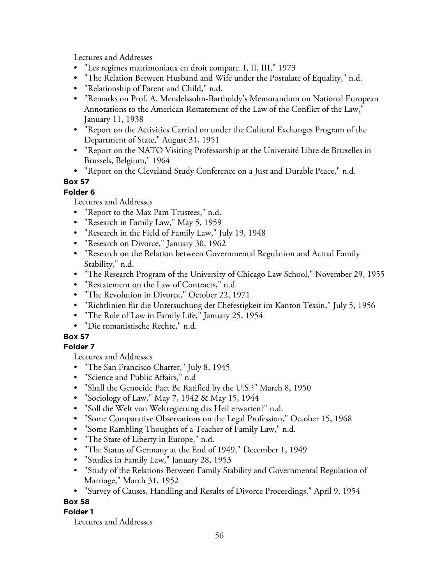Lectures and Addresses

- "Les regimes matrimoniaux en droit compare. I, II, III," 1973
- "The Relation Between Husband and Wife under the Postulate of Equality," n.d.
- "Relationship of Parent and Child," n.d.
- "Remarks on Prof. A. Mendelssohn-Bartholdy's Memorandum on National European Annotations to the American Restatement of the Law of the Conflict of the Law," January 11, 1938
- "Report on the Activities Carried on under the Cultural Exchanges Program of the Department of State," August 31, 1951
- "Report on the NATO Visiting Professorship at the Université Libre de Bruxelles in Brussels, Belgium," 1964
- "Report on the Cleveland Study Conference on a Just and Durable Peace," n.d.

# **Box 57**

## **Folder 6**

Lectures and Addresses

- "Report to the Max Pam Trustees," n.d.
- "Research in Family Law," May 5, 1959
- "Research in the Field of Family Law," July 19, 1948
- "Research on Divorce," January 30, 1962
- "Research on the Relation between Governmental Regulation and Actual Family Stability," n.d.
- "The Research Program of the University of Chicago Law School," November 29, 1955
- "Restatement on the Law of Contracts," n.d.
- "The Revolution in Divorce," October 22, 1971
- "Richtlinien für die Untersuchung der Ehefestigkeit im Kanton Tessin," July 5, 1956
- "The Role of Law in Family Life," January 25, 1954
- "Die romanistische Rechte," n.d.

## **Box 57**

## **Folder 7**

Lectures and Addresses

- "The San Francisco Charter," July 8, 1945
- "Science and Public Affairs," n.d
- "Shall the Genocide Pact Be Ratified by the U.S.?" March 8, 1950
- "Sociology of Law," May 7, 1942 & May 15, 1944
- "Soll die Welt von Weltregierung das Heil erwarten?" n.d.
- "Some Comparative Observations on the Legal Profession," October 15, 1968
- "Some Rambling Thoughts of a Teacher of Family Law," n.d.
- "The State of Liberty in Europe," n.d.
- "The Status of Germany at the End of 1949," December 1, 1949
- "Studies in Family Law," January 28, 1953
- "Study of the Relations Between Family Stability and Governmental Regulation of Marriage," March 31, 1952
- "Survey of Causes, Handling and Results of Divorce Proceedings," April 9, 1954

## **Box 58**

## **Folder 1**

Lectures and Addresses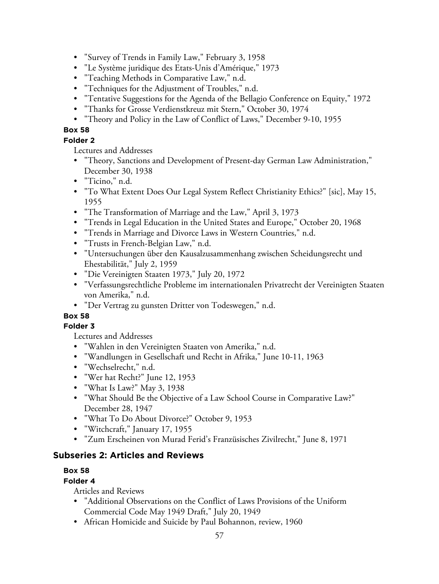- "Survey of Trends in Family Law," February 3, 1958
- "Le Système juridique des Etats-Unis d'Amérique," 1973
- "Teaching Methods in Comparative Law," n.d.
- "Techniques for the Adjustment of Troubles," n.d.
- "Tentative Suggestions for the Agenda of the Bellagio Conference on Equity," 1972
- "Thanks for Grosse Verdienstkreuz mit Stern," October 30, 1974
- "Theory and Policy in the Law of Conflict of Laws," December 9-10, 1955

## **Folder 2**

Lectures and Addresses

- "Theory, Sanctions and Development of Present-day German Law Administration," December 30, 1938
- "Ticino," n.d.
- "To What Extent Does Our Legal System Reflect Christianity Ethics?" [sic], May 15, 1955
- "The Transformation of Marriage and the Law," April 3, 1973
- "Trends in Legal Education in the United States and Europe," October 20, 1968
- "Trends in Marriage and Divorce Laws in Western Countries," n.d.
- "Trusts in French-Belgian Law," n.d.
- "Untersuchungen über den Kausalzusammenhang zwischen Scheidungsrecht und Ehestabilität," July 2, 1959
- "Die Vereinigten Staaten 1973," July 20, 1972
- "Verfassungsrechtliche Probleme im internationalen Privatrecht der Vereinigten Staaten von Amerika," n.d.
- "Der Vertrag zu gunsten Dritter von Todeswegen," n.d.

# **Box 58**

## **Folder 3**

Lectures and Addresses

- "Wahlen in den Vereinigten Staaten von Amerika," n.d.
- "Wandlungen in Gesellschaft und Recht in Afrika," June 10-11, 1963
- "Wechselrecht," n.d.
- "Wer hat Recht?" June 12, 1953
- "What Is Law?" May 3, 1938
- "What Should Be the Objective of a Law School Course in Comparative Law?" December 28, 1947
- "What To Do About Divorce?" October 9, 1953
- "Witchcraft," January 17, 1955
- "Zum Erscheinen von Murad Ferid's Franzüsisches Zivilrecht," June 8, 1971

# **Subseries 2: Articles and Reviews**

## **Box 58**

## **Folder 4**

- "Additional Observations on the Conflict of Laws Provisions of the Uniform Commercial Code May 1949 Draft," July 20, 1949
- African Homicide and Suicide by Paul Bohannon, review, 1960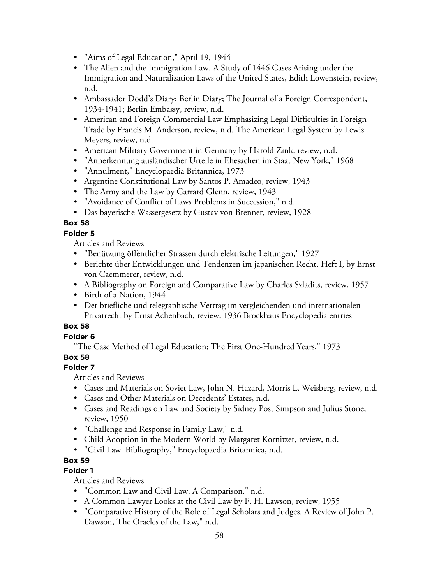- "Aims of Legal Education," April 19, 1944
- The Alien and the Immigration Law. A Study of 1446 Cases Arising under the Immigration and Naturalization Laws of the United States, Edith Lowenstein, review, n.d.
- Ambassador Dodd's Diary; Berlin Diary; The Journal of a Foreign Correspondent, 1934-1941; Berlin Embassy, review, n.d.
- American and Foreign Commercial Law Emphasizing Legal Difficulties in Foreign Trade by Francis M. Anderson, review, n.d. The American Legal System by Lewis Meyers, review, n.d.
- American Military Government in Germany by Harold Zink, review, n.d.
- "Annerkennung ausländischer Urteile in Ehesachen im Staat New York," 1968
- "Annulment," Encyclopaedia Britannica, 1973
- Argentine Constitutional Law by Santos P. Amadeo, review, 1943
- The Army and the Law by Garrard Glenn, review, 1943
- "Avoidance of Conflict of Laws Problems in Succession," n.d.
- Das bayerische Wassergesetz by Gustav von Brenner, review, 1928

#### **Folder 5**

Articles and Reviews

- "Benützung öffentlicher Strassen durch elektrische Leitungen," 1927
- Berichte über Entwicklungen und Tendenzen im japanischen Recht, Heft I, by Ernst von Caemmerer, review, n.d.
- A Bibliography on Foreign and Comparative Law by Charles Szladits, review, 1957
- Birth of a Nation, 1944
- Der briefliche und telegraphische Vertrag im vergleichenden und internationalen Privatrecht by Ernst Achenbach, review, 1936 Brockhaus Encyclopedia entries

## **Box 58**

#### **Folder 6**

"The Case Method of Legal Education; The First One-Hundred Years," 1973

#### **Box 58**

## **Folder 7**

Articles and Reviews

- Cases and Materials on Soviet Law, John N. Hazard, Morris L. Weisberg, review, n.d.
- Cases and Other Materials on Decedents' Estates, n.d.
- Cases and Readings on Law and Society by Sidney Post Simpson and Julius Stone, review, 1950
- "Challenge and Response in Family Law," n.d.
- Child Adoption in the Modern World by Margaret Kornitzer, review, n.d.
- "Civil Law. Bibliography," Encyclopaedia Britannica, n.d.

# **Box 59**

## **Folder 1**

- "Common Law and Civil Law. A Comparison." n.d.
- A Common Lawyer Looks at the Civil Law by F. H. Lawson, review, 1955
- "Comparative History of the Role of Legal Scholars and Judges. A Review of John P. Dawson, The Oracles of the Law," n.d.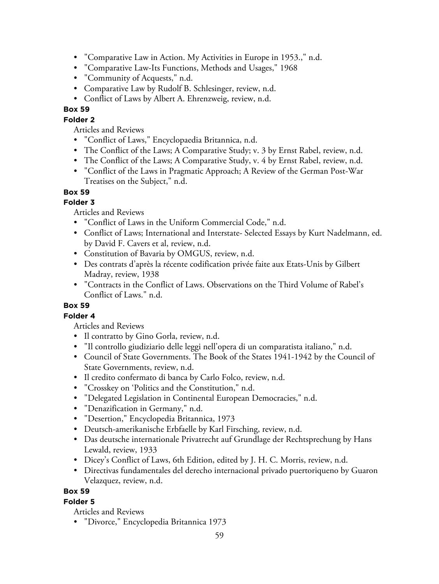- "Comparative Law in Action. My Activities in Europe in 1953.," n.d.
- "Comparative Law-Its Functions, Methods and Usages," 1968
- "Community of Acquests," n.d.
- Comparative Law by Rudolf B. Schlesinger, review, n.d.
- Conflict of Laws by Albert A. Ehrenzweig, review, n.d.

## **Folder 2**

Articles and Reviews

- "Conflict of Laws," Encyclopaedia Britannica, n.d.
- The Conflict of the Laws; A Comparative Study; v. 3 by Ernst Rabel, review, n.d.
- The Conflict of the Laws; A Comparative Study, v. 4 by Ernst Rabel, review, n.d.
- "Conflict of the Laws in Pragmatic Approach; A Review of the German Post-War Treatises on the Subject," n.d.

### **Box 59**

## **Folder 3**

Articles and Reviews

- "Conflict of Laws in the Uniform Commercial Code," n.d.
- Conflict of Laws; International and Interstate- Selected Essays by Kurt Nadelmann, ed. by David F. Cavers et al, review, n.d.
- Constitution of Bavaria by OMGUS, review, n.d.
- Des contrats d'après la récente codification privée faite aux Etats-Unis by Gilbert Madray, review, 1938
- "Contracts in the Conflict of Laws. Observations on the Third Volume of Rabel's Conflict of Laws." n.d.

## **Box 59**

## **Folder 4**

Articles and Reviews

- Il contratto by Gino Gorla, review, n.d.
- "Il controllo giudiziario delle leggi nell'opera di un comparatista italiano," n.d.
- Council of State Governments. The Book of the States 1941-1942 by the Council of State Governments, review, n.d.
- Il credito confermato di banca by Carlo Folco, review, n.d.
- "Crosskey on 'Politics and the Constitution," n.d.
- "Delegated Legislation in Continental European Democracies," n.d.
- "Denazification in Germany," n.d.
- "Desertion," Encyclopedia Britannica, 1973
- Deutsch-amerikanische Erbfaelle by Karl Firsching, review, n.d.
- Das deutsche internationale Privatrecht auf Grundlage der Rechtsprechung by Hans Lewald, review, 1933
- Dicey's Conflict of Laws, 6th Edition, edited by J. H. C. Morris, review, n.d.
- Directivas fundamentales del derecho internacional privado puertoriqueno by Guaron Velazquez, review, n.d.

## **Box 59**

## **Folder 5**

Articles and Reviews

• "Divorce," Encyclopedia Britannica 1973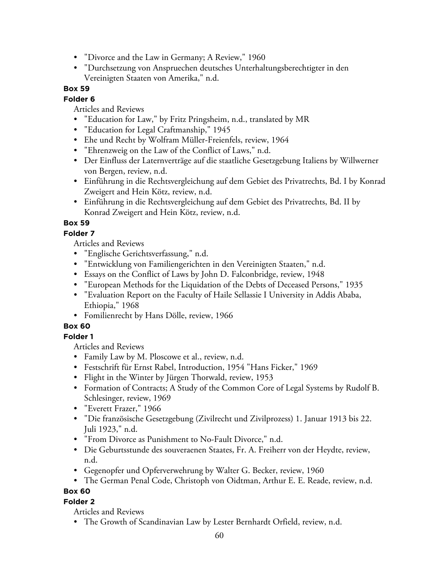- "Divorce and the Law in Germany; A Review," 1960
- "Durchsetzung von Anspruechen deutsches Unterhaltungsberechtigter in den Vereinigten Staaten von Amerika," n.d.

### **Folder 6**

Articles and Reviews

- "Education for Law," by Fritz Pringsheim, n.d., translated by MR
- "Education for Legal Craftmanship," 1945
- Ehe und Recht by Wolfram Müller-Freienfels, review, 1964
- "Ehrenzweig on the Law of the Conflict of Laws," n.d.
- Der Einfluss der Laternverträge auf die staatliche Gesetzgebung Italiens by Willwerner von Bergen, review, n.d.
- Einführung in die Rechtsvergleichung auf dem Gebiet des Privatrechts, Bd. I by Konrad Zweigert and Hein Kötz, review, n.d.
- Einführung in die Rechtsvergleichung auf dem Gebiet des Privatrechts, Bd. II by Konrad Zweigert and Hein Kötz, review, n.d.

# **Box 59**

# **Folder 7**

Articles and Reviews

- "Englische Gerichtsverfassung," n.d.
- "Entwicklung von Familiengerichten in den Vereinigten Staaten," n.d.
- Essays on the Conflict of Laws by John D. Falconbridge, review, 1948
- "European Methods for the Liquidation of the Debts of Deceased Persons," 1935
- "Evaluation Report on the Faculty of Haile Sellassie I University in Addis Ababa, Ethiopia," 1968
- Fomilienrecht by Hans Dölle, review, 1966

# **Box 60**

## **Folder 1**

Articles and Reviews

- Family Law by M. Ploscowe et al., review, n.d.
- Festschrift für Ernst Rabel, Introduction, 1954 "Hans Ficker," 1969
- Flight in the Winter by Jürgen Thorwald, review, 1953
- Formation of Contracts; A Study of the Common Core of Legal Systems by Rudolf B. Schlesinger, review, 1969
- "Everett Frazer," 1966
- "Die französische Gesetzgebung (Zivilrecht und Zivilprozess) 1. Januar 1913 bis 22. Juli 1923," n.d.
- "From Divorce as Punishment to No-Fault Divorce," n.d.
- Die Geburtsstunde des souveraenen Staates, Fr. A. Freiherr von der Heydte, review, n.d.
- Gegenopfer und Opferverwehrung by Walter G. Becker, review, 1960
- The German Penal Code, Christoph von Oidtman, Arthur E. E. Reade, review, n.d.

## **Box 60**

## **Folder 2**

Articles and Reviews

• The Growth of Scandinavian Law by Lester Bernhardt Orfield, review, n.d.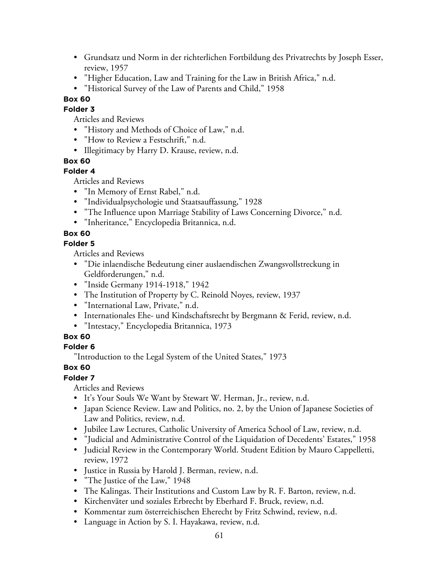- Grundsatz und Norm in der richterlichen Fortbildung des Privatrechts by Joseph Esser, review, 1957
- "Higher Education, Law and Training for the Law in British Africa," n.d.
- "Historical Survey of the Law of Parents and Child," 1958

**Folder 3**

Articles and Reviews

- "History and Methods of Choice of Law," n.d.
- "How to Review a Festschrift," n.d.
- Illegitimacy by Harry D. Krause, review, n.d.

### **Box 60**

## **Folder 4**

Articles and Reviews

- "In Memory of Ernst Rabel," n.d.
- "Individualpsychologie und Staatsauffassung," 1928
- "The Influence upon Marriage Stability of Laws Concerning Divorce," n.d.
- "Inheritance," Encyclopedia Britannica, n.d.

# **Box 60**

### **Folder 5**

Articles and Reviews

- "Die inlaendische Bedeutung einer auslaendischen Zwangsvollstreckung in Geldforderungen," n.d.
- "Inside Germany 1914-1918," 1942
- The Institution of Property by C. Reinold Noyes, review, 1937
- "International Law, Private," n.d.
- Internationales Ehe- und Kindschaftsrecht by Bergmann & Ferid, review, n.d.
- "Intestacy," Encyclopedia Britannica, 1973

## **Box 60**

## **Folder 6**

"Introduction to the Legal System of the United States," 1973

## **Box 60**

## **Folder 7**

- It's Your Souls We Want by Stewart W. Herman, Jr., review, n.d.
- Japan Science Review. Law and Politics, no. 2, by the Union of Japanese Societies of Law and Politics, review, n.d.
- Jubilee Law Lectures, Catholic University of America School of Law, review, n.d.
- "Judicial and Administrative Control of the Liquidation of Decedents' Estates," 1958
- Judicial Review in the Contemporary World. Student Edition by Mauro Cappelletti, review, 1972
- Justice in Russia by Harold J. Berman, review, n.d.
- "The Justice of the Law," 1948
- The Kalingas. Their Institutions and Custom Law by R. F. Barton, review, n.d.
- Kirchenväter und soziales Erbrecht by Eberhard F. Bruck, review, n.d.
- Kommentar zum österreichischen Eherecht by Fritz Schwind, review, n.d.
- Language in Action by S. I. Hayakawa, review, n.d.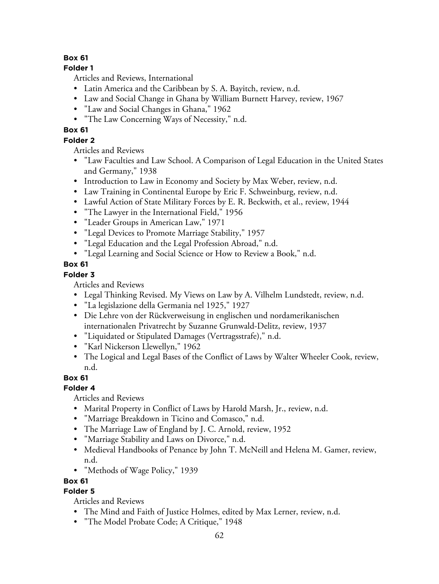## **Folder 1**

Articles and Reviews, International

- Latin America and the Caribbean by S. A. Bayitch, review, n.d.
- Law and Social Change in Ghana by William Burnett Harvey, review, 1967
- "Law and Social Changes in Ghana," 1962
- "The Law Concerning Ways of Necessity," n.d.

# **Box 61**

# **Folder 2**

Articles and Reviews

- "Law Faculties and Law School. A Comparison of Legal Education in the United States and Germany," 1938
- Introduction to Law in Economy and Society by Max Weber, review, n.d.
- Law Training in Continental Europe by Eric F. Schweinburg, review, n.d.
- Lawful Action of State Military Forces by E. R. Beckwith, et al., review, 1944
- "The Lawyer in the International Field," 1956
- "Leader Groups in American Law," 1971
- "Legal Devices to Promote Marriage Stability," 1957
- "Legal Education and the Legal Profession Abroad," n.d.
- "Legal Learning and Social Science or How to Review a Book," n.d.

# **Box 61**

# **Folder 3**

Articles and Reviews

- Legal Thinking Revised. My Views on Law by A. Vilhelm Lundstedt, review, n.d.
- "La legislazione della Germania nel 1925," 1927
- Die Lehre von der Rückverweisung in englischen und nordamerikanischen internationalen Privatrecht by Suzanne Grunwald-Delitz, review, 1937
- "Liquidated or Stipulated Damages (Vertragsstrafe)," n.d.
- "Karl Nickerson Llewellyn," 1962
- The Logical and Legal Bases of the Conflict of Laws by Walter Wheeler Cook, review, n.d.

# **Box 61**

# **Folder 4**

Articles and Reviews

- Marital Property in Conflict of Laws by Harold Marsh, Jr., review, n.d.
- "Marriage Breakdown in Ticino and Comasco," n.d.
- The Marriage Law of England by J. C. Arnold, review, 1952
- "Marriage Stability and Laws on Divorce," n.d.
- Medieval Handbooks of Penance by John T. McNeill and Helena M. Gamer, review, n.d.
- "Methods of Wage Policy," 1939

# **Box 61**

# **Folder 5**

- The Mind and Faith of Justice Holmes, edited by Max Lerner, review, n.d.
- "The Model Probate Code; A Critique," 1948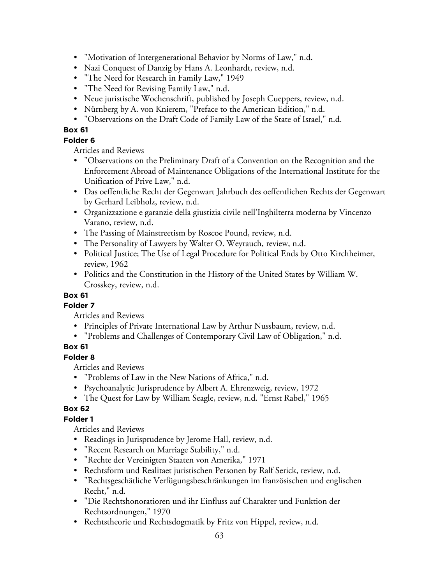- "Motivation of Intergenerational Behavior by Norms of Law," n.d.
- Nazi Conquest of Danzig by Hans A. Leonhardt, review, n.d.
- "The Need for Research in Family Law," 1949
- "The Need for Revising Family Law," n.d.
- Neue juristische Wochenschrift, published by Joseph Cueppers, review, n.d.
- Nürnberg by A. von Knierem, "Preface to the American Edition," n.d.
- "Observations on the Draft Code of Family Law of the State of Israel," n.d.

### **Folder 6**

Articles and Reviews

- "Observations on the Preliminary Draft of a Convention on the Recognition and the Enforcement Abroad of Maintenance Obligations of the International Institute for the Unification of Prive Law," n.d.
- Das oeffentliche Recht der Gegenwart Jahrbuch des oeffentlichen Rechts der Gegenwart by Gerhard Leibholz, review, n.d.
- Organizzazione e garanzie della giustizia civile nell'Inghilterra moderna by Vincenzo Varano, review, n.d.
- The Passing of Mainstreetism by Roscoe Pound, review, n.d.
- The Personality of Lawyers by Walter O. Weyrauch, review, n.d.
- Political Justice; The Use of Legal Procedure for Political Ends by Otto Kirchheimer, review, 1962
- Politics and the Constitution in the History of the United States by William W. Crosskey, review, n.d.

# **Box 61**

**Folder 7**

Articles and Reviews

- Principles of Private International Law by Arthur Nussbaum, review, n.d.
- "Problems and Challenges of Contemporary Civil Law of Obligation," n.d.

# **Box 61**

## **Folder 8**

Articles and Reviews

- "Problems of Law in the New Nations of Africa," n.d.
- Psychoanalytic Jurisprudence by Albert A. Ehrenzweig, review, 1972
- The Quest for Law by William Seagle, review, n.d. "Ernst Rabel," 1965

# **Box 62**

# **Folder 1**

- Readings in Jurisprudence by Jerome Hall, review, n.d.
- "Recent Research on Marriage Stability," n.d.
- "Rechte der Vereinigten Staaten von Amerika," 1971
- Rechtsform und Realitaet juristischen Personen by Ralf Serick, review, n.d.
- "Rechtsgeschätliche Verfügungsbeschränkungen im französischen und englischen Recht," n.d.
- "Die Rechtshonoratioren und ihr Einfluss auf Charakter und Funktion der Rechtsordnungen," 1970
- Rechtstheorie und Rechtsdogmatik by Fritz von Hippel, review, n.d.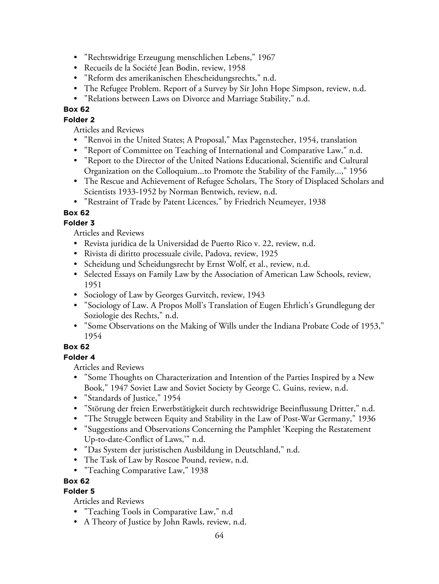- "Rechtswidrige Erzeugung menschlichen Lebens," 1967
- Recueils de la Société Jean Bodin, review, 1958
- "Reform des amerikanischen Ehescheidungsrechts," n.d.
- The Refugee Problem. Report of a Survey by Sir John Hope Simpson, review, n.d.
- "Relations between Laws on Divorce and Marriage Stability," n.d.

# **Folder 2**

Articles and Reviews

- "Renvoi in the United States; A Proposal," Max Pagenstecher, 1954, translation
- "Report of Committee on Teaching of International and Comparative Law," n.d.
- "Report to the Director of the United Nations Educational, Scientific and Cultural Organization on the Colloquium...to Promote the Stability of the Family...," 1956
- The Rescue and Achievement of Refugee Scholars, The Story of Displaced Scholars and Scientists 1933-1952 by Norman Bentwich, review, n.d.
- "Restraint of Trade by Patent Licences," by Friedrich Neumeyer, 1938

# **Box 62**

# **Folder 3**

Articles and Reviews

- Revista juridica de la Universidad de Puerto Rico v. 22, review, n.d.
- Rivista di diritto processuale civile, Padova, review, 1925
- Scheidung und Scheidungsrecht by Ernst Wolf, et al., review, n.d.
- Selected Essays on Family Law by the Association of American Law Schools, review, 1951
- Sociology of Law by Georges Gurvitch, review, 1943
- "Sociology of Law. A Propos Moll's Translation of Eugen Ehrlich's Grundlegung der Soziologie des Rechts," n.d.
- "Some Observations on the Making of Wills under the Indiana Probate Code of 1953," 1954

# **Box 62**

## **Folder 4**

Articles and Reviews

- "Some Thoughts on Characterization and Intention of the Parties Inspired by a New Book," 1947 Soviet Law and Soviet Society by George C. Guins, review, n.d.
- "Standards of Justice," 1954
- "Störung der freien Erwerbstätigkeit durch rechtswidrige Beeinflussung Dritter," n.d.
- "The Struggle between Equity and Stability in the Law of Post-War Germany," 1936
- "Suggestions and Observations Concerning the Pamphlet 'Keeping the Restatement Up-to-date-Conflict of Laws,'" n.d.
- "Das System der juristischen Ausbildung in Deutschland," n.d.
- The Task of Law by Roscoe Pound, review, n.d.
- "Teaching Comparative Law," 1938

## **Box 62**

# **Folder 5**

- "Teaching Tools in Comparative Law," n.d
- A Theory of Justice by John Rawls, review, n.d.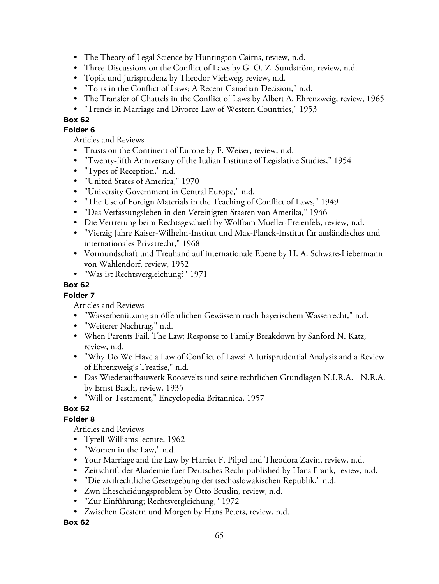- The Theory of Legal Science by Huntington Cairns, review, n.d.
- Three Discussions on the Conflict of Laws by G. O. Z. Sundström, review, n.d.
- Topik und Jurisprudenz by Theodor Viehweg, review, n.d.
- "Torts in the Conflict of Laws; A Recent Canadian Decision," n.d.
- The Transfer of Chattels in the Conflict of Laws by Albert A. Ehrenzweig, review, 1965
- "Trends in Marriage and Divorce Law of Western Countries," 1953

### **Folder 6**

Articles and Reviews

- Trusts on the Continent of Europe by F. Weiser, review, n.d.
- "Twenty-fifth Anniversary of the Italian Institute of Legislative Studies," 1954
- "Types of Reception," n.d.
- "United States of America," 1970
- "University Government in Central Europe," n.d.
- "The Use of Foreign Materials in the Teaching of Conflict of Laws," 1949
- "Das Verfassungsleben in den Vereinigten Staaten von Amerika," 1946
- Die Vertretung beim Rechtsgeschaeft by Wolfram Mueller-Freienfels, review, n.d.
- "Vierzig Jahre Kaiser-Wilhelm-Institut und Max-Planck-Institut für ausländisches und internationales Privatrecht," 1968
- Vormundschaft und Treuhand auf internationale Ebene by H. A. Schware-Liebermann von Wahlendorf, review, 1952
- "Was ist Rechtsvergleichung?" 1971

#### **Box 62**

### **Folder 7**

Articles and Reviews

- "Wasserbenützung an öffentlichen Gewässern nach bayerischem Wasserrecht," n.d.
- "Weiterer Nachtrag," n.d.
- When Parents Fail. The Law; Response to Family Breakdown by Sanford N. Katz, review, n.d.
- "Why Do We Have a Law of Conflict of Laws? A Jurisprudential Analysis and a Review of Ehrenzweig's Treatise," n.d.
- Das Wiederaufbauwerk Roosevelts und seine rechtlichen Grundlagen N.I.R.A. N.R.A. by Ernst Basch, review, 1935
- "Will or Testament," Encyclopedia Britannica, 1957

## **Box 62**

## **Folder 8**

Articles and Reviews

- Tyrell Williams lecture, 1962
- "Women in the Law," n.d.
- Your Marriage and the Law by Harriet F. Pilpel and Theodora Zavin, review, n.d.
- Zeitschrift der Akademie fuer Deutsches Recht published by Hans Frank, review, n.d.
- "Die zivilrechtliche Gesetzgebung der tsechoslowakischen Republik," n.d.
- Zwn Ehescheidungsproblem by Otto Bruslin, review, n.d.
- "Zur Einführung; Rechtsvergleichung," 1972
- Zwischen Gestern und Morgen by Hans Peters, review, n.d.

**Box 62**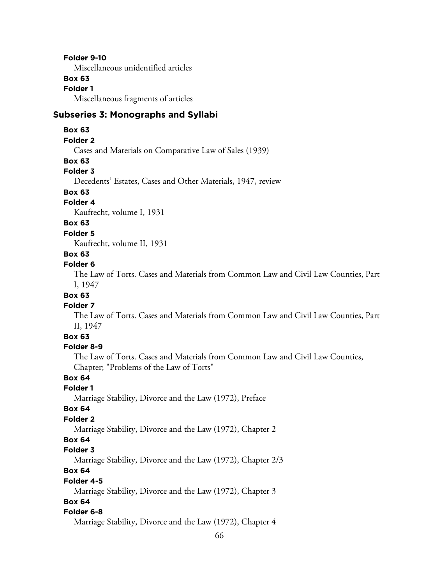#### **Folder 9-10**

Miscellaneous unidentified articles

# **Box 63**

**Folder 1** Miscellaneous fragments of articles

#### **Subseries 3: Monographs and Syllabi**

#### **Box 63**

#### **Folder 2**

Cases and Materials on Comparative Law of Sales (1939)

#### **Box 63**

#### **Folder 3**

Decedents' Estates, Cases and Other Materials, 1947, review

# **Box 63**

### **Folder 4**

Kaufrecht, volume I, 1931

#### **Box 63**

#### **Folder 5**

Kaufrecht, volume II, 1931

#### **Box 63**

#### **Folder 6**

The Law of Torts. Cases and Materials from Common Law and Civil Law Counties, Part I, 1947

#### **Box 63**

#### **Folder 7**

The Law of Torts. Cases and Materials from Common Law and Civil Law Counties, Part II, 1947

## **Box 63**

#### **Folder 8-9**

The Law of Torts. Cases and Materials from Common Law and Civil Law Counties, Chapter; "Problems of the Law of Torts"

### **Box 64**

# **Folder 1**

Marriage Stability, Divorce and the Law (1972), Preface

#### **Box 64**

#### **Folder 2**

Marriage Stability, Divorce and the Law (1972), Chapter 2

#### **Box 64**

# **Folder 3**

Marriage Stability, Divorce and the Law (1972), Chapter 2/3

### **Box 64**

#### **Folder 4-5**

Marriage Stability, Divorce and the Law (1972), Chapter 3

#### **Box 64**

#### **Folder 6-8**

Marriage Stability, Divorce and the Law (1972), Chapter 4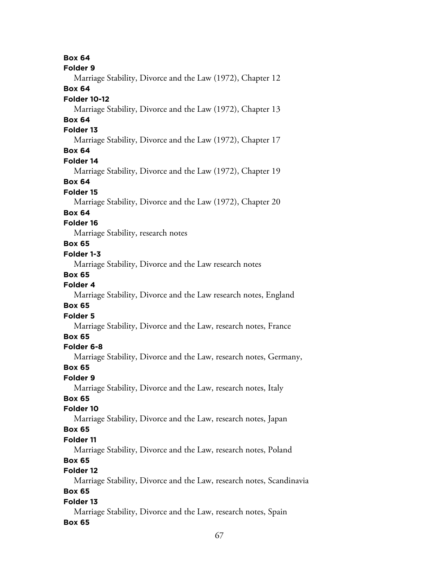**Box 64 Folder 9** Marriage Stability, Divorce and the Law (1972), Chapter 12 **Box 64 Folder 10-12** Marriage Stability, Divorce and the Law (1972), Chapter 13 **Box 64 Folder 13** Marriage Stability, Divorce and the Law (1972), Chapter 17 **Box 64 Folder 14** Marriage Stability, Divorce and the Law (1972), Chapter 19 **Box 64 Folder 15** Marriage Stability, Divorce and the Law (1972), Chapter 20 **Box 64 Folder 16** Marriage Stability, research notes **Box 65 Folder 1-3** Marriage Stability, Divorce and the Law research notes **Box 65 Folder 4** Marriage Stability, Divorce and the Law research notes, England **Box 65 Folder 5** Marriage Stability, Divorce and the Law, research notes, France **Box 65 Folder 6-8** Marriage Stability, Divorce and the Law, research notes, Germany, **Box 65 Folder 9** Marriage Stability, Divorce and the Law, research notes, Italy **Box 65 Folder 10** Marriage Stability, Divorce and the Law, research notes, Japan **Box 65 Folder 11** Marriage Stability, Divorce and the Law, research notes, Poland **Box 65 Folder 12** Marriage Stability, Divorce and the Law, research notes, Scandinavia **Box 65 Folder 13**

Marriage Stability, Divorce and the Law, research notes, Spain **Box 65**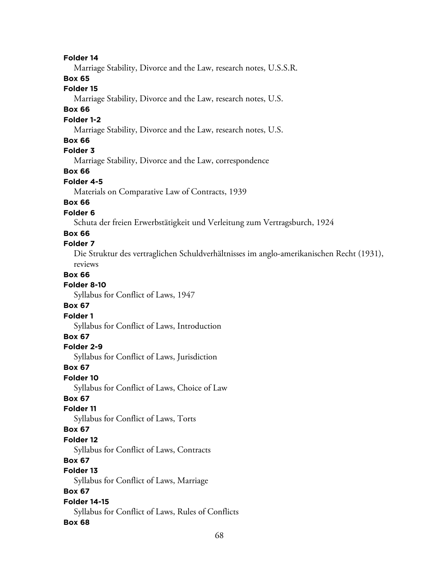**Folder 14**

Marriage Stability, Divorce and the Law, research notes, U.S.S.R.

**Box 65**

# **Folder 15**

Marriage Stability, Divorce and the Law, research notes, U.S.

#### **Box 66**

#### **Folder 1-2**

Marriage Stability, Divorce and the Law, research notes, U.S.

#### **Box 66**

### **Folder 3**

Marriage Stability, Divorce and the Law, correspondence

#### **Box 66**

#### **Folder 4-5**

Materials on Comparative Law of Contracts, 1939

### **Box 66**

#### **Folder 6**

Schuta der freien Erwerbstätigkeit und Verleitung zum Vertragsburch, 1924

#### **Box 66**

#### **Folder 7**

Die Struktur des vertraglichen Schuldverhältnisses im anglo-amerikanischen Recht (1931), reviews

#### **Box 66**

#### **Folder 8-10**

Syllabus for Conflict of Laws, 1947

#### **Box 67**

**Folder 1**

Syllabus for Conflict of Laws, Introduction

#### **Box 67**

#### **Folder 2-9**

Syllabus for Conflict of Laws, Jurisdiction

#### **Box 67**

#### **Folder 10**

Syllabus for Conflict of Laws, Choice of Law

#### **Box 67**

#### **Folder 11**

Syllabus for Conflict of Laws, Torts

### **Box 67**

#### **Folder 12**

Syllabus for Conflict of Laws, Contracts

## **Box 67**

## **Folder 13**

Syllabus for Conflict of Laws, Marriage

### **Box 67**

#### **Folder 14-15** Syllabus for Conflict of Laws, Rules of Conflicts

#### **Box 68**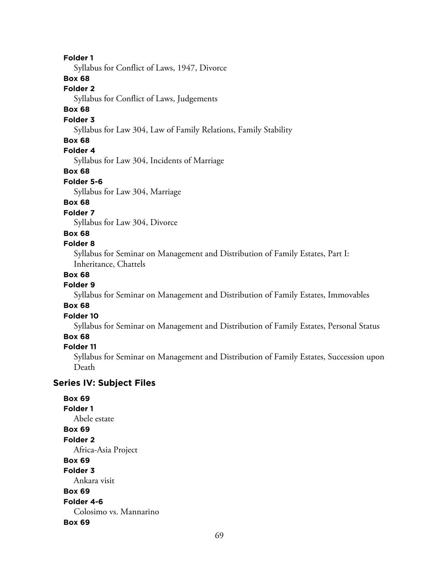#### **Folder 1**

Syllabus for Conflict of Laws, 1947, Divorce

### **Box 68**

#### **Folder 2**

Syllabus for Conflict of Laws, Judgements

## **Box 68**

#### **Folder 3**

Syllabus for Law 304, Law of Family Relations, Family Stability

#### **Box 68**

#### **Folder 4**

Syllabus for Law 304, Incidents of Marriage

#### **Box 68**

#### **Folder 5-6**

Syllabus for Law 304, Marriage

### **Box 68**

## **Folder 7**

Syllabus for Law 304, Divorce

#### **Box 68**

#### **Folder 8**

Syllabus for Seminar on Management and Distribution of Family Estates, Part I: Inheritance, Chattels

#### **Box 68**

#### **Folder 9**

Syllabus for Seminar on Management and Distribution of Family Estates, Immovables

#### **Box 68**

# **Folder 10**

Syllabus for Seminar on Management and Distribution of Family Estates, Personal Status

#### **Box 68**

#### **Folder 11**

Syllabus for Seminar on Management and Distribution of Family Estates, Succession upon Death

### **Series IV: Subject Files**

**Box 69 Folder 1** Abele estate **Box 69 Folder 2** Africa-Asia Project **Box 69 Folder 3** Ankara visit **Box 69 Folder 4-6** Colosimo vs. Mannarino **Box 69**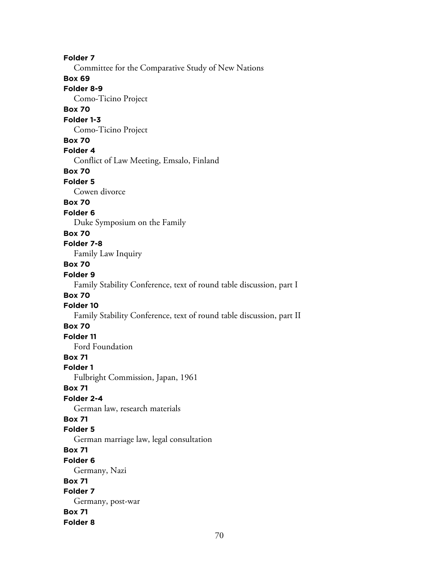**Folder 7** Committee for the Comparative Study of New Nations **Box 69 Folder 8-9** Como-Ticino Project **Box 70 Folder 1-3** Como-Ticino Project **Box 70 Folder 4** Conflict of Law Meeting, Emsalo, Finland **Box 70 Folder 5** Cowen divorce **Box 70 Folder 6** Duke Symposium on the Family **Box 70 Folder 7-8** Family Law Inquiry **Box 70 Folder 9** Family Stability Conference, text of round table discussion, part I **Box 70 Folder 10** Family Stability Conference, text of round table discussion, part II **Box 70 Folder 11** Ford Foundation **Box 71 Folder 1** Fulbright Commission, Japan, 1961 **Box 71 Folder 2-4** German law, research materials **Box 71 Folder 5** German marriage law, legal consultation **Box 71 Folder 6** Germany, Nazi **Box 71 Folder 7** Germany, post-war **Box 71 Folder 8**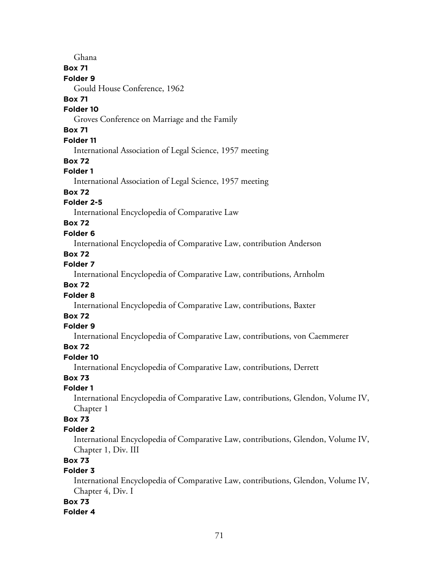Ghana

# **Box 71**

# **Folder 9**

Gould House Conference, 1962

### **Box 71**

## **Folder 10**

Groves Conference on Marriage and the Family

# **Box 71**

# **Folder 11**

International Association of Legal Science, 1957 meeting

## **Box 72**

# **Folder 1**

International Association of Legal Science, 1957 meeting

# **Box 72**

# **Folder 2-5**

International Encyclopedia of Comparative Law

# **Box 72**

# **Folder 6**

International Encyclopedia of Comparative Law, contribution Anderson

# **Box 72**

# **Folder 7**

International Encyclopedia of Comparative Law, contributions, Arnholm

# **Box 72**

# **Folder 8**

International Encyclopedia of Comparative Law, contributions, Baxter

# **Box 72**

## **Folder 9**

International Encyclopedia of Comparative Law, contributions, von Caemmerer

# **Box 72**

# **Folder 10**

International Encyclopedia of Comparative Law, contributions, Derrett

# **Box 73**

# **Folder 1**

International Encyclopedia of Comparative Law, contributions, Glendon, Volume IV, Chapter 1

# **Box 73**

# **Folder 2**

International Encyclopedia of Comparative Law, contributions, Glendon, Volume IV, Chapter 1, Div. III

# **Box 73**

# **Folder 3**

International Encyclopedia of Comparative Law, contributions, Glendon, Volume IV, Chapter 4, Div. I

## **Box 73**

# **Folder 4**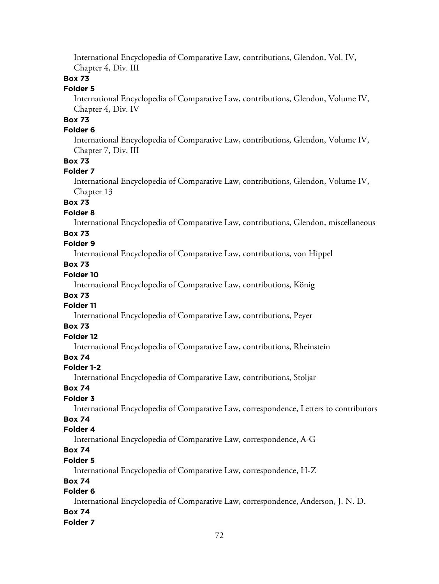International Encyclopedia of Comparative Law, contributions, Glendon, Vol. IV, Chapter 4, Div. III

## **Box 73**

#### **Folder 5**

International Encyclopedia of Comparative Law, contributions, Glendon, Volume IV, Chapter 4, Div. IV

# **Box 73**

#### **Folder 6**

International Encyclopedia of Comparative Law, contributions, Glendon, Volume IV, Chapter 7, Div. III

### **Box 73**

#### **Folder 7**

International Encyclopedia of Comparative Law, contributions, Glendon, Volume IV, Chapter 13

## **Box 73**

#### **Folder 8**

International Encyclopedia of Comparative Law, contributions, Glendon, miscellaneous

### **Box 73**

# **Folder 9**

International Encyclopedia of Comparative Law, contributions, von Hippel

# **Box 73**

# **Folder 10**

International Encyclopedia of Comparative Law, contributions, König

### **Box 73**

## **Folder 11**

International Encyclopedia of Comparative Law, contributions, Peyer

#### **Box 73**

# **Folder 12**

International Encyclopedia of Comparative Law, contributions, Rheinstein

# **Box 74**

#### **Folder 1-2**

International Encyclopedia of Comparative Law, contributions, Stoljar

### **Box 74**

### **Folder 3**

International Encyclopedia of Comparative Law, correspondence, Letters to contributors

# **Box 74**

## **Folder 4**

International Encyclopedia of Comparative Law, correspondence, A-G

# **Box 74**

#### **Folder 5**

International Encyclopedia of Comparative Law, correspondence, H-Z

### **Box 74**

# **Folder 6**

International Encyclopedia of Comparative Law, correspondence, Anderson, J. N. D.

# **Box 74**

#### **Folder 7**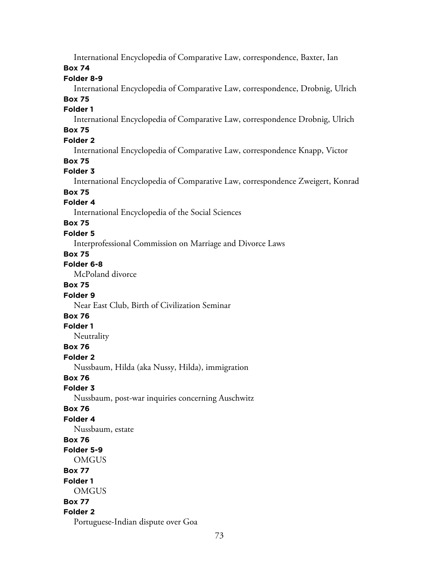International Encyclopedia of Comparative Law, correspondence, Baxter, Ian

### **Box 74**

### **Folder 8-9**

International Encyclopedia of Comparative Law, correspondence, Drobnig, Ulrich **Box 75**

# **Folder 1**

International Encyclopedia of Comparative Law, correspondence Drobnig, Ulrich

# **Box 75**

# **Folder 2**

International Encyclopedia of Comparative Law, correspondence Knapp, Victor

## **Box 75**

## **Folder 3**

International Encyclopedia of Comparative Law, correspondence Zweigert, Konrad

# **Box 75**

#### **Folder 4**

International Encyclopedia of the Social Sciences

# **Box 75**

#### **Folder 5**

Interprofessional Commission on Marriage and Divorce Laws

# **Box 75**

# **Folder 6-8**

McPoland divorce

## **Box 75**

#### **Folder 9**

Near East Club, Birth of Civilization Seminar

## **Box 76**

#### **Folder 1**

**Neutrality** 

#### **Box 76**

**Folder 2**

Nussbaum, Hilda (aka Nussy, Hilda), immigration

## **Box 76**

## **Folder 3**

Nussbaum, post-war inquiries concerning Auschwitz

#### **Box 76**

## **Folder 4**

Nussbaum, estate

# **Box 76**

# **Folder 5-9**

**OMGUS** 

# **Box 77**

**Folder 1 OMGUS** 

# **Box 77**

# **Folder 2**

Portuguese-Indian dispute over Goa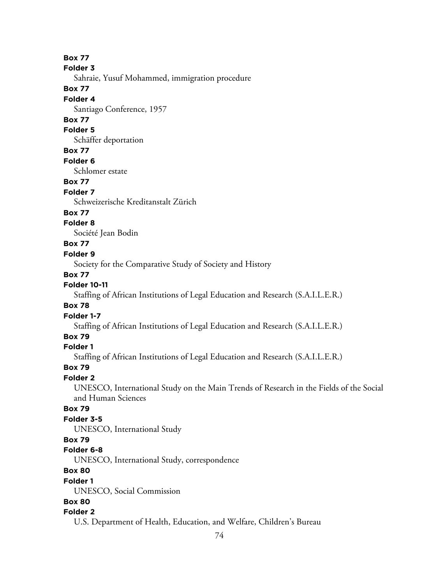**Box 77**

**Folder 3**

Sahraie, Yusuf Mohammed, immigration procedure

#### **Box 77**

#### **Folder 4**

Santiago Conference, 1957

## **Box 77**

#### **Folder 5**

Schäffer deportation

## **Box 77**

#### **Folder 6**

Schlomer estate

#### **Box 77**

#### **Folder 7**

Schweizerische Kreditanstalt Zürich

#### **Box 77**

#### **Folder 8**

Société Jean Bodin

#### **Box 77**

#### **Folder 9**

Society for the Comparative Study of Society and History

#### **Box 77**

### **Folder 10-11**

Staffing of African Institutions of Legal Education and Research (S.A.I.L.E.R.)

#### **Box 78**

#### **Folder 1-7**

Staffing of African Institutions of Legal Education and Research (S.A.I.L.E.R.)

# **Box 79**

## **Folder 1**

Staffing of African Institutions of Legal Education and Research (S.A.I.L.E.R.)

#### **Box 79**

#### **Folder 2**

UNESCO, International Study on the Main Trends of Research in the Fields of the Social and Human Sciences

## **Box 79**

### **Folder 3-5**

UNESCO, International Study

# **Box 79**

#### **Folder 6-8**

UNESCO, International Study, correspondence

# **Box 80**

#### **Folder 1**

UNESCO, Social Commission

# **Box 80**

#### **Folder 2**

U.S. Department of Health, Education, and Welfare, Children's Bureau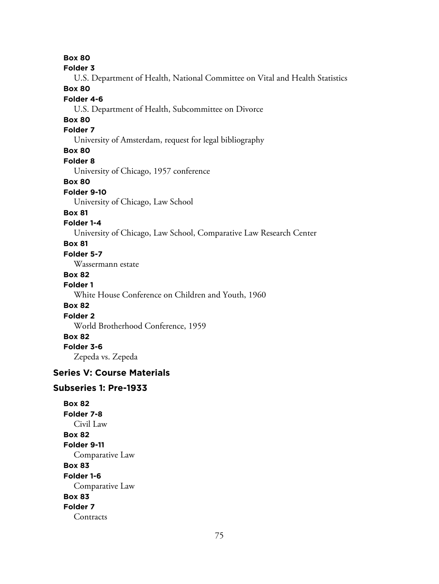**Box 80 Folder 3** U.S. Department of Health, National Committee on Vital and Health Statistics **Box 80 Folder 4-6** U.S. Department of Health, Subcommittee on Divorce **Box 80 Folder 7** University of Amsterdam, request for legal bibliography **Box 80 Folder 8** University of Chicago, 1957 conference **Box 80 Folder 9-10** University of Chicago, Law School **Box 81 Folder 1-4** University of Chicago, Law School, Comparative Law Research Center **Box 81 Folder 5-7** Wassermann estate **Box 82 Folder 1** White House Conference on Children and Youth, 1960 **Box 82 Folder 2** World Brotherhood Conference, 1959 **Box 82 Folder 3-6** Zepeda vs. Zepeda **Series V: Course Materials Subseries 1: Pre-1933**

**Box 82 Folder 7-8** Civil Law **Box 82 Folder 9-11** Comparative Law **Box 83 Folder 1-6** Comparative Law **Box 83 Folder 7 Contracts**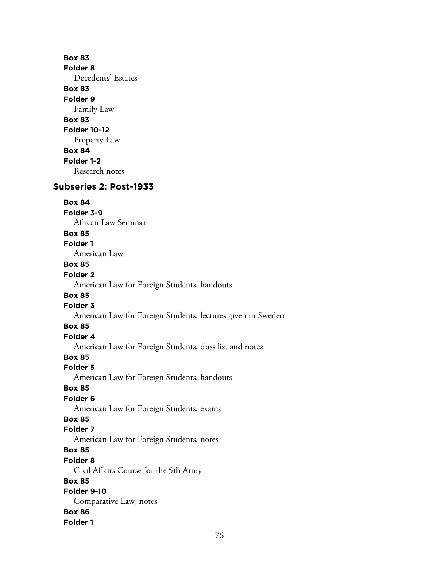**Box 83 Folder 8** Decedents' Estates **Box 83 Folder 9** Family Law **Box 83 Folder 10-12** Property Law **Box 84 Folder 1-2** Research notes **Subseries 2: Post-1933 Box 84 Folder 3-9** African Law Seminar **Box 85 Folder 1** American Law **Box 85 Folder 2** American Law for Foreign Students, handouts **Box 85 Folder 3** American Law for Foreign Students, lectures given in Sweden **Box 85 Folder 4** American Law for Foreign Students, class list and notes **Box 85 Folder 5** American Law for Foreign Students, handouts **Box 85 Folder 6** American Law for Foreign Students, exams **Box 85 Folder 7** American Law for Foreign Students, notes **Box 85 Folder 8** Civil Affairs Course for the 5th Army **Box 85 Folder 9-10** Comparative Law, notes **Box 86 Folder 1**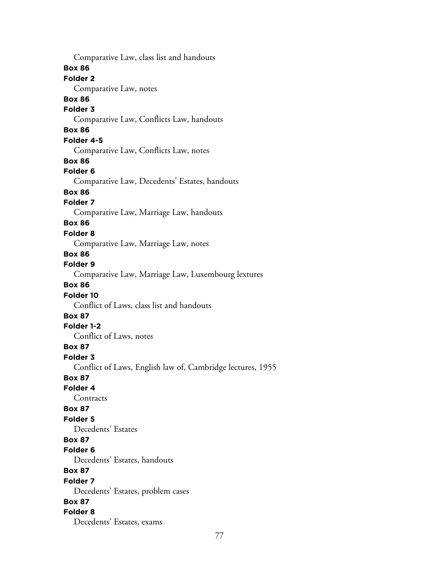Comparative Law, class list and handouts **Box 86 Folder 2** Comparative Law, notes **Box 86 Folder 3** Comparative Law, Conflicts Law, handouts **Box 86 Folder 4-5** Comparative Law, Conflicts Law, notes **Box 86 Folder 6** Comparative Law, Decedents' Estates, handouts **Box 86 Folder 7** Comparative Law, Marriage Law, handouts **Box 86 Folder 8** Comparative Law, Marriage Law, notes **Box 86 Folder 9** Comparative Law, Marriage Law, Luxembourg lextures **Box 86 Folder 10** Conflict of Laws, class list and handouts **Box 87 Folder 1-2** Conflict of Laws, notes **Box 87 Folder 3** Conflict of Laws, English law of, Cambridge lectures, 1955 **Box 87 Folder 4 Contracts Box 87 Folder 5** Decedents' Estates **Box 87 Folder 6** Decedents' Estates, handouts **Box 87 Folder 7** Decedents' Estates, problem cases **Box 87 Folder 8** Decedents' Estates, exams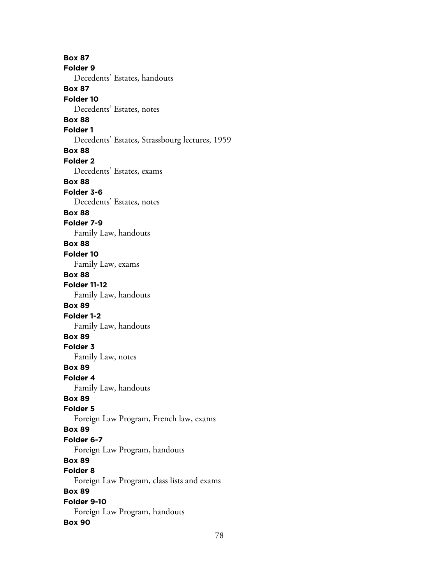**Box 87 Folder 9** Decedents' Estates, handouts **Box 87 Folder 10** Decedents' Estates, notes **Box 88 Folder 1** Decedents' Estates, Strassbourg lectures, 1959 **Box 88 Folder 2** Decedents' Estates, exams **Box 88 Folder 3-6** Decedents' Estates, notes **Box 88 Folder 7-9** Family Law, handouts **Box 88 Folder 10** Family Law, exams **Box 88 Folder 11-12** Family Law, handouts **Box 89 Folder 1-2** Family Law, handouts **Box 89 Folder 3** Family Law, notes **Box 89 Folder 4** Family Law, handouts **Box 89 Folder 5** Foreign Law Program, French law, exams **Box 89 Folder 6-7** Foreign Law Program, handouts **Box 89 Folder 8** Foreign Law Program, class lists and exams **Box 89 Folder 9-10** Foreign Law Program, handouts **Box 90**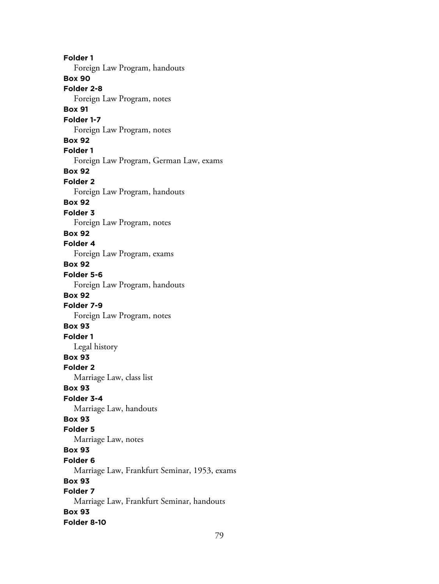**Folder 1** Foreign Law Program, handouts **Box 90 Folder 2-8** Foreign Law Program, notes **Box 91 Folder 1-7** Foreign Law Program, notes **Box 92 Folder 1** Foreign Law Program, German Law, exams **Box 92 Folder 2** Foreign Law Program, handouts **Box 92 Folder 3** Foreign Law Program, notes **Box 92 Folder 4** Foreign Law Program, exams **Box 92 Folder 5-6** Foreign Law Program, handouts **Box 92 Folder 7-9** Foreign Law Program, notes **Box 93 Folder 1** Legal history **Box 93 Folder 2** Marriage Law, class list **Box 93 Folder 3-4** Marriage Law, handouts **Box 93 Folder 5** Marriage Law, notes **Box 93 Folder 6** Marriage Law, Frankfurt Seminar, 1953, exams **Box 93 Folder 7** Marriage Law, Frankfurt Seminar, handouts **Box 93 Folder 8-10**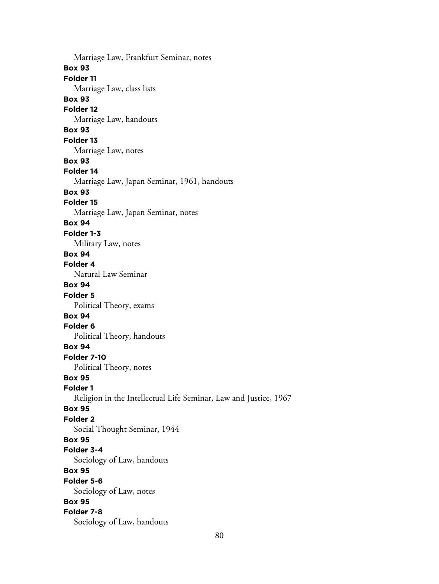Marriage Law, Frankfurt Seminar, notes **Box 93 Folder 11** Marriage Law, class lists **Box 93 Folder 12** Marriage Law, handouts **Box 93 Folder 13** Marriage Law, notes **Box 93 Folder 14** Marriage Law, Japan Seminar, 1961, handouts **Box 93 Folder 15** Marriage Law, Japan Seminar, notes **Box 94 Folder 1-3** Military Law, notes **Box 94 Folder 4** Natural Law Seminar **Box 94 Folder 5** Political Theory, exams **Box 94 Folder 6** Political Theory, handouts **Box 94 Folder 7-10** Political Theory, notes **Box 95 Folder 1** Religion in the Intellectual Life Seminar, Law and Justice, 1967 **Box 95 Folder 2** Social Thought Seminar, 1944 **Box 95 Folder 3-4** Sociology of Law, handouts **Box 95 Folder 5-6** Sociology of Law, notes **Box 95 Folder 7-8** Sociology of Law, handouts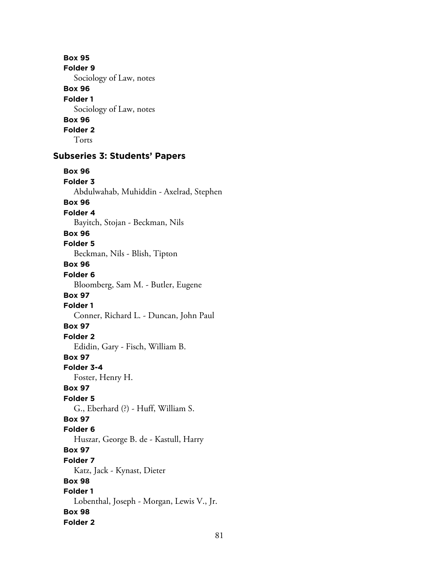**Box 95 Folder 9** Sociology of Law, notes **Box 96 Folder 1** Sociology of Law, notes **Box 96 Folder 2** Torts **Subseries 3: Students' Papers Box 96 Folder 3** Abdulwahab, Muhiddin - Axelrad, Stephen **Box 96 Folder 4** Bayitch, Stojan - Beckman, Nils **Box 96 Folder 5** Beckman, Nils - Blish, Tipton **Box 96 Folder 6** Bloomberg, Sam M. - Butler, Eugene **Box 97 Folder 1** Conner, Richard L. - Duncan, John Paul **Box 97 Folder 2** Edidin, Gary - Fisch, William B. **Box 97 Folder 3-4** Foster, Henry H. **Box 97 Folder 5** G., Eberhard (?) - Huff, William S. **Box 97 Folder 6** Huszar, George B. de - Kastull, Harry **Box 97 Folder 7** Katz, Jack - Kynast, Dieter **Box 98 Folder 1** Lobenthal, Joseph - Morgan, Lewis V., Jr. **Box 98 Folder 2**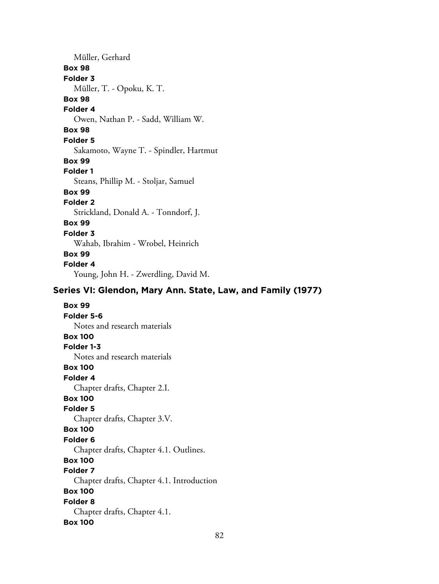Müller, Gerhard **Box 98 Folder 3** Müller, T. - Opoku, K. T. **Box 98 Folder 4** Owen, Nathan P. - Sadd, William W. **Box 98 Folder 5** Sakamoto, Wayne T. - Spindler, Hartmut **Box 99 Folder 1** Steans, Phillip M. - Stoljar, Samuel **Box 99 Folder 2** Strickland, Donald A. - Tonndorf, J. **Box 99 Folder 3** Wahab, Ibrahim - Wrobel, Heinrich **Box 99 Folder 4** Young, John H. - Zwerdling, David M.

# **Series VI: Glendon, Mary Ann. State, Law, and Family (1977)**

**Box 99 Folder 5-6** Notes and research materials **Box 100 Folder 1-3** Notes and research materials **Box 100 Folder 4** Chapter drafts, Chapter 2.I. **Box 100 Folder 5** Chapter drafts, Chapter 3.V. **Box 100 Folder 6** Chapter drafts, Chapter 4.1. Outlines. **Box 100 Folder 7** Chapter drafts, Chapter 4.1. Introduction **Box 100 Folder 8** Chapter drafts, Chapter 4.1. **Box 100**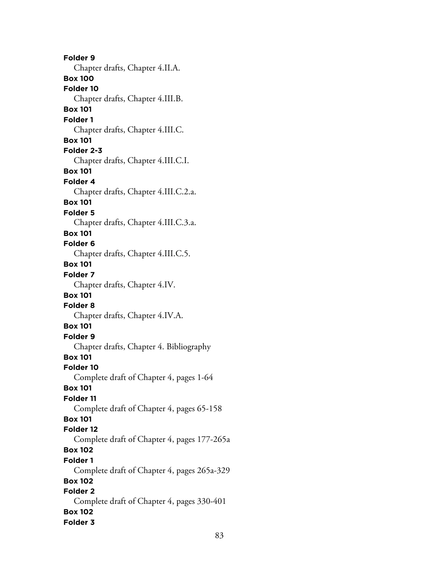**Folder 9** Chapter drafts, Chapter 4.II.A. **Box 100 Folder 10** Chapter drafts, Chapter 4.III.B. **Box 101 Folder 1** Chapter drafts, Chapter 4.III.C. **Box 101 Folder 2-3** Chapter drafts, Chapter 4.III.C.I. **Box 101 Folder 4** Chapter drafts, Chapter 4.III.C.2.a. **Box 101 Folder 5** Chapter drafts, Chapter 4.III.C.3.a. **Box 101 Folder 6** Chapter drafts, Chapter 4.III.C.5. **Box 101 Folder 7** Chapter drafts, Chapter 4.IV. **Box 101 Folder 8** Chapter drafts, Chapter 4.IV.A. **Box 101 Folder 9** Chapter drafts, Chapter 4. Bibliography **Box 101 Folder 10** Complete draft of Chapter 4, pages 1-64 **Box 101 Folder 11** Complete draft of Chapter 4, pages 65-158 **Box 101 Folder 12** Complete draft of Chapter 4, pages 177-265a **Box 102 Folder 1** Complete draft of Chapter 4, pages 265a-329 **Box 102 Folder 2** Complete draft of Chapter 4, pages 330-401 **Box 102 Folder 3**